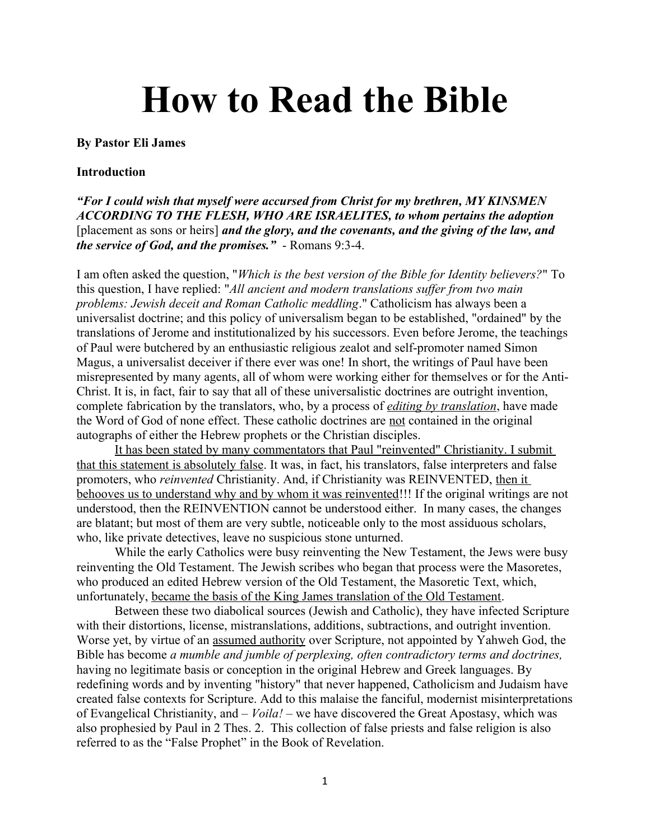# **How to Read the Bible**

#### **By Pastor Eli James**

#### **Introduction**

*"For I could wish that myself were accursed from Christ for my brethren, MY KINSMEN ACCORDING TO THE FLESH, WHO ARE ISRAELITES, to whom pertains the adoption*  [placement as sons or heirs] *and the glory, and the covenants, and the giving of the law, and the service of God, and the promises."* - Romans 9:3-4.

I am often asked the question, "*Which is the best version of the Bible for Identity believers?*" To this question, I have replied: "*All ancient and modern translations suffer from two main problems: Jewish deceit and Roman Catholic meddling*." Catholicism has always been a universalist doctrine; and this policy of universalism began to be established, "ordained" by the translations of Jerome and institutionalized by his successors. Even before Jerome, the teachings of Paul were butchered by an enthusiastic religious zealot and self-promoter named Simon Magus, a universalist deceiver if there ever was one! In short, the writings of Paul have been misrepresented by many agents, all of whom were working either for themselves or for the Anti-Christ. It is, in fact, fair to say that all of these universalistic doctrines are outright invention, complete fabrication by the translators, who, by a process of *editing by translation*, have made the Word of God of none effect. These catholic doctrines are not contained in the original autographs of either the Hebrew prophets or the Christian disciples.

It has been stated by many commentators that Paul "reinvented" Christianity. I submit that this statement is absolutely false. It was, in fact, his translators, false interpreters and false promoters, who *reinvented* Christianity. And, if Christianity was REINVENTED, then it behooves us to understand why and by whom it was reinvented!!! If the original writings are not understood, then the REINVENTION cannot be understood either. In many cases, the changes are blatant; but most of them are very subtle, noticeable only to the most assiduous scholars, who, like private detectives, leave no suspicious stone unturned.

While the early Catholics were busy reinventing the New Testament, the Jews were busy reinventing the Old Testament. The Jewish scribes who began that process were the Masoretes, who produced an edited Hebrew version of the Old Testament, the Masoretic Text, which, unfortunately, became the basis of the King James translation of the Old Testament.

Between these two diabolical sources (Jewish and Catholic), they have infected Scripture with their distortions, license, mistranslations, additions, subtractions, and outright invention. Worse yet, by virtue of an assumed authority over Scripture, not appointed by Yahweh God, the Bible has become *a mumble and jumble of perplexing, often contradictory terms and doctrines,*  having no legitimate basis or conception in the original Hebrew and Greek languages. By redefining words and by inventing "history" that never happened, Catholicism and Judaism have created false contexts for Scripture. Add to this malaise the fanciful, modernist misinterpretations of Evangelical Christianity, and – *Voila!* – we have discovered the Great Apostasy, which was also prophesied by Paul in 2 Thes. 2. This collection of false priests and false religion is also referred to as the "False Prophet" in the Book of Revelation.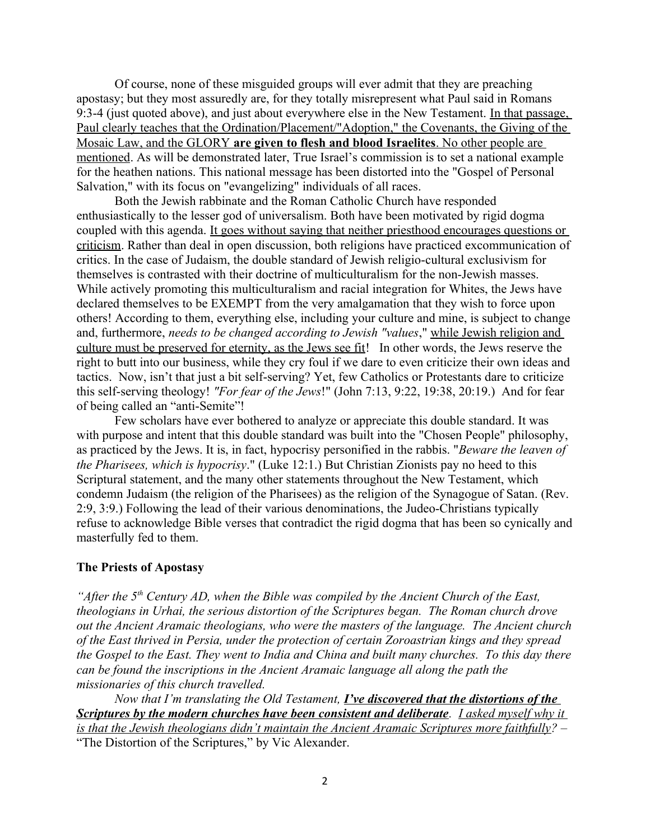Of course, none of these misguided groups will ever admit that they are preaching apostasy; but they most assuredly are, for they totally misrepresent what Paul said in Romans 9:3-4 (just quoted above), and just about everywhere else in the New Testament. In that passage, Paul clearly teaches that the Ordination/Placement/"Adoption," the Covenants, the Giving of the Mosaic Law, and the GLORY **are given to flesh and blood Israelites** . No other people are mentioned. As will be demonstrated later, True Israel's commission is to set a national example for the heathen nations. This national message has been distorted into the "Gospel of Personal Salvation," with its focus on "evangelizing" individuals of all races.

Both the Jewish rabbinate and the Roman Catholic Church have responded enthusiastically to the lesser god of universalism. Both have been motivated by rigid dogma coupled with this agenda. It goes without saying that neither priesthood encourages questions or criticism. Rather than deal in open discussion, both religions have practiced excommunication of critics. In the case of Judaism, the double standard of Jewish religio-cultural exclusivism for themselves is contrasted with their doctrine of multiculturalism for the non-Jewish masses. While actively promoting this multiculturalism and racial integration for Whites, the Jews have declared themselves to be EXEMPT from the very amalgamation that they wish to force upon others! According to them, everything else, including your culture and mine, is subject to change and, furthermore, *needs to be changed according to Jewish "values*," while Jewish religion and culture must be preserved for eternity, as the Jews see fit! In other words, the Jews reserve the right to butt into our business, while they cry foul if we dare to even criticize their own ideas and tactics. Now, isn't that just a bit self-serving? Yet, few Catholics or Protestants dare to criticize this self-serving theology! *"For fear of the Jews*!" (John 7:13, 9:22, 19:38, 20:19.) And for fear of being called an "anti-Semite"!

Few scholars have ever bothered to analyze or appreciate this double standard. It was with purpose and intent that this double standard was built into the "Chosen People" philosophy, as practiced by the Jews. It is, in fact, hypocrisy personified in the rabbis. "*Beware the leaven of the Pharisees, which is hypocrisy*." (Luke 12:1.) But Christian Zionists pay no heed to this Scriptural statement, and the many other statements throughout the New Testament, which condemn Judaism (the religion of the Pharisees) as the religion of the Synagogue of Satan. (Rev. 2:9, 3:9.) Following the lead of their various denominations, the Judeo-Christians typically refuse to acknowledge Bible verses that contradict the rigid dogma that has been so cynically and masterfully fed to them.

#### **The Priests of Apostasy**

*"After the 5th Century AD, when the Bible was compiled by the Ancient Church of the East, theologians in Urhai, the serious distortion of the Scriptures began. The Roman church drove out the Ancient Aramaic theologians, who were the masters of the language. The Ancient church of the East thrived in Persia, under the protection of certain Zoroastrian kings and they spread the Gospel to the East. They went to India and China and built many churches. To this day there can be found the inscriptions in the Ancient Aramaic language all along the path the missionaries of this church travelled.*

*Now that I'm translating the Old Testament, I've discovered that the distortions of the Scriptures by the modern churches have been consistent and deliberate. I asked myself why it is that the Jewish theologians didn't maintain the Ancient Aramaic Scriptures more faithfully? –*  "The Distortion of the Scriptures," by Vic Alexander.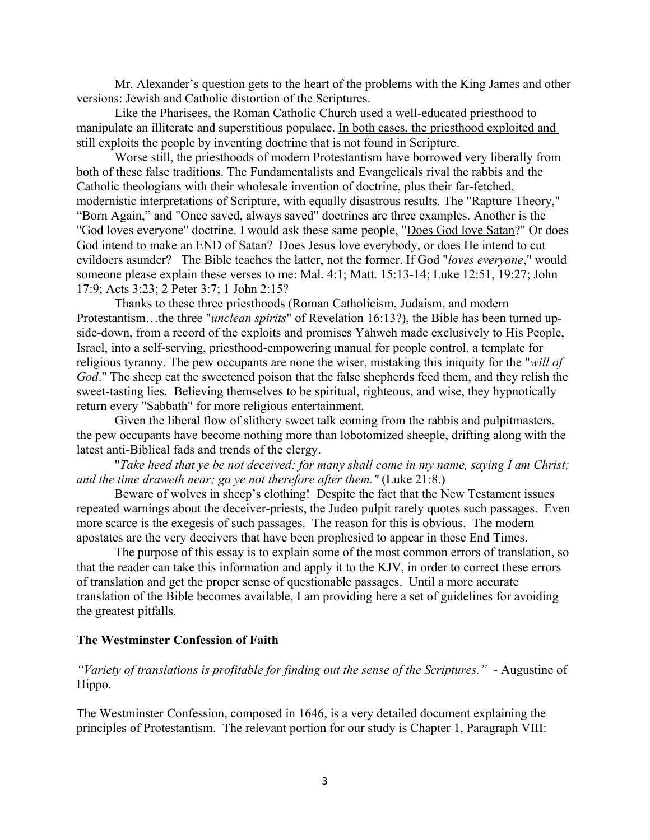Mr. Alexander's question gets to the heart of the problems with the King James and other versions: Jewish and Catholic distortion of the Scriptures.

Like the Pharisees, the Roman Catholic Church used a well-educated priesthood to manipulate an illiterate and superstitious populace. In both cases, the priesthood exploited and still exploits the people by inventing doctrine that is not found in Scripture.

Worse still, the priesthoods of modern Protestantism have borrowed very liberally from both of these false traditions. The Fundamentalists and Evangelicals rival the rabbis and the Catholic theologians with their wholesale invention of doctrine, plus their far-fetched, modernistic interpretations of Scripture, with equally disastrous results. The "Rapture Theory," "Born Again," and "Once saved, always saved" doctrines are three examples. Another is the "God loves everyone" doctrine. I would ask these same people, "Does God love Satan?" Or does God intend to make an END of Satan? Does Jesus love everybody, or does He intend to cut evildoers asunder? The Bible teaches the latter, not the former. If God "*loves everyone*," would someone please explain these verses to me: Mal. 4:1; Matt. 15:13-14; Luke 12:51, 19:27; John 17:9; Acts 3:23; 2 Peter 3:7; 1 John 2:15?

Thanks to these three priesthoods (Roman Catholicism, Judaism, and modern Protestantism…the three "*unclean spirits*" of Revelation 16:13?), the Bible has been turned upside-down, from a record of the exploits and promises Yahweh made exclusively to His People, Israel, into a self-serving, priesthood-empowering manual for people control, a template for religious tyranny. The pew occupants are none the wiser, mistaking this iniquity for the "*will of God*." The sheep eat the sweetened poison that the false shepherds feed them, and they relish the sweet-tasting lies. Believing themselves to be spiritual, righteous, and wise, they hypnotically return every "Sabbath" for more religious entertainment.

Given the liberal flow of slithery sweet talk coming from the rabbis and pulpitmasters, the pew occupants have become nothing more than lobotomized sheeple, drifting along with the latest anti-Biblical fads and trends of the clergy.

"*Take heed that ye be not deceived: for many shall come in my name, saying I am Christ; and the time draweth near; go ye not therefore after them."* (Luke 21:8.)

Beware of wolves in sheep's clothing! Despite the fact that the New Testament issues repeated warnings about the deceiver-priests, the Judeo pulpit rarely quotes such passages. Even more scarce is the exegesis of such passages. The reason for this is obvious. The modern apostates are the very deceivers that have been prophesied to appear in these End Times.

The purpose of this essay is to explain some of the most common errors of translation, so that the reader can take this information and apply it to the KJV, in order to correct these errors of translation and get the proper sense of questionable passages. Until a more accurate translation of the Bible becomes available, I am providing here a set of guidelines for avoiding the greatest pitfalls.

#### **The Westminster Confession of Faith**

*"Variety of translations is profitable for finding out the sense of the Scriptures."* - Augustine of Hippo.

The Westminster Confession, composed in 1646, is a very detailed document explaining the principles of Protestantism. The relevant portion for our study is Chapter 1, Paragraph VIII: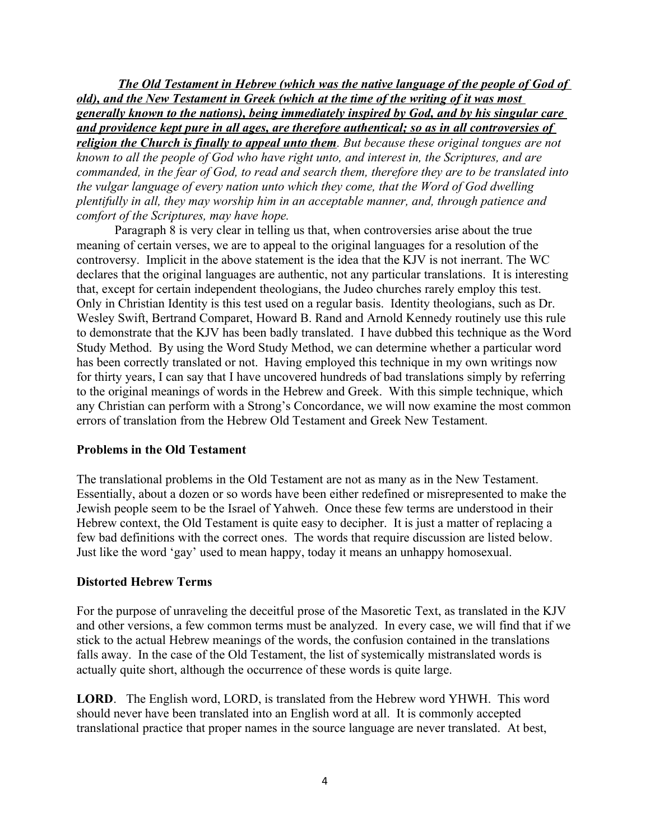**The Old Testament in Hebrew (which was the native language of the people of God of** *old), and the New Testament in Greek (which at the time of the writing of it was most generally known to the nations), being immediately inspired by God, and by his singular care and providence kept pure in all ages, are therefore authentical; so as in all controversies of religion the Church is finally to appeal unto them. But because these original tongues are not known to all the people of God who have right unto, and interest in, the Scriptures, and are commanded, in the fear of God, to read and search them, therefore they are to be translated into the vulgar language of every nation unto which they come, that the Word of God dwelling plentifully in all, they may worship him in an acceptable manner, and, through patience and comfort of the Scriptures, may have hope.*

Paragraph 8 is very clear in telling us that, when controversies arise about the true meaning of certain verses, we are to appeal to the original languages for a resolution of the controversy. Implicit in the above statement is the idea that the KJV is not inerrant. The WC declares that the original languages are authentic, not any particular translations. It is interesting that, except for certain independent theologians, the Judeo churches rarely employ this test. Only in Christian Identity is this test used on a regular basis. Identity theologians, such as Dr. Wesley Swift, Bertrand Comparet, Howard B. Rand and Arnold Kennedy routinely use this rule to demonstrate that the KJV has been badly translated. I have dubbed this technique as the Word Study Method. By using the Word Study Method, we can determine whether a particular word has been correctly translated or not. Having employed this technique in my own writings now for thirty years, I can say that I have uncovered hundreds of bad translations simply by referring to the original meanings of words in the Hebrew and Greek. With this simple technique, which any Christian can perform with a Strong's Concordance, we will now examine the most common errors of translation from the Hebrew Old Testament and Greek New Testament.

## **Problems in the Old Testament**

The translational problems in the Old Testament are not as many as in the New Testament. Essentially, about a dozen or so words have been either redefined or misrepresented to make the Jewish people seem to be the Israel of Yahweh. Once these few terms are understood in their Hebrew context, the Old Testament is quite easy to decipher. It is just a matter of replacing a few bad definitions with the correct ones. The words that require discussion are listed below. Just like the word 'gay' used to mean happy, today it means an unhappy homosexual.

## **Distorted Hebrew Terms**

For the purpose of unraveling the deceitful prose of the Masoretic Text, as translated in the KJV and other versions, a few common terms must be analyzed. In every case, we will find that if we stick to the actual Hebrew meanings of the words, the confusion contained in the translations falls away. In the case of the Old Testament, the list of systemically mistranslated words is actually quite short, although the occurrence of these words is quite large.

**LORD**. The English word, LORD, is translated from the Hebrew word YHWH. This word should never have been translated into an English word at all. It is commonly accepted translational practice that proper names in the source language are never translated. At best,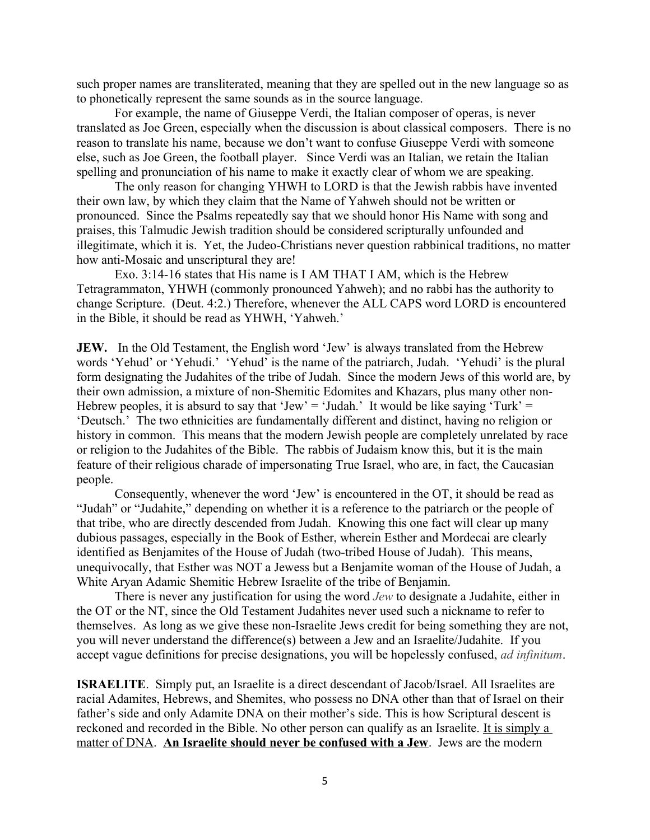such proper names are transliterated, meaning that they are spelled out in the new language so as to phonetically represent the same sounds as in the source language.

For example, the name of Giuseppe Verdi, the Italian composer of operas, is never translated as Joe Green, especially when the discussion is about classical composers. There is no reason to translate his name, because we don't want to confuse Giuseppe Verdi with someone else, such as Joe Green, the football player. Since Verdi was an Italian, we retain the Italian spelling and pronunciation of his name to make it exactly clear of whom we are speaking.

The only reason for changing YHWH to LORD is that the Jewish rabbis have invented their own law, by which they claim that the Name of Yahweh should not be written or pronounced. Since the Psalms repeatedly say that we should honor His Name with song and praises, this Talmudic Jewish tradition should be considered scripturally unfounded and illegitimate, which it is. Yet, the Judeo-Christians never question rabbinical traditions, no matter how anti-Mosaic and unscriptural they are!

Exo. 3:14-16 states that His name is I AM THAT I AM, which is the Hebrew Tetragrammaton, YHWH (commonly pronounced Yahweh); and no rabbi has the authority to change Scripture. (Deut. 4:2.) Therefore, whenever the ALL CAPS word LORD is encountered in the Bible, it should be read as YHWH, 'Yahweh.'

**JEW.** In the Old Testament, the English word 'Jew' is always translated from the Hebrew words 'Yehud' or 'Yehudi.' 'Yehud' is the name of the patriarch, Judah. 'Yehudi' is the plural form designating the Judahites of the tribe of Judah. Since the modern Jews of this world are, by their own admission, a mixture of non-Shemitic Edomites and Khazars, plus many other non-Hebrew peoples, it is absurd to say that 'Jew' = 'Judah.' It would be like saying 'Turk' = 'Deutsch.' The two ethnicities are fundamentally different and distinct, having no religion or history in common. This means that the modern Jewish people are completely unrelated by race or religion to the Judahites of the Bible. The rabbis of Judaism know this, but it is the main feature of their religious charade of impersonating True Israel, who are, in fact, the Caucasian people.

Consequently, whenever the word 'Jew' is encountered in the OT, it should be read as "Judah" or "Judahite," depending on whether it is a reference to the patriarch or the people of that tribe, who are directly descended from Judah. Knowing this one fact will clear up many dubious passages, especially in the Book of Esther, wherein Esther and Mordecai are clearly identified as Benjamites of the House of Judah (two-tribed House of Judah). This means, unequivocally, that Esther was NOT a Jewess but a Benjamite woman of the House of Judah, a White Aryan Adamic Shemitic Hebrew Israelite of the tribe of Benjamin.

There is never any justification for using the word *Jew* to designate a Judahite, either in the OT or the NT, since the Old Testament Judahites never used such a nickname to refer to themselves. As long as we give these non-Israelite Jews credit for being something they are not, you will never understand the difference(s) between a Jew and an Israelite/Judahite. If you accept vague definitions for precise designations, you will be hopelessly confused, *ad infinitum*.

**ISRAELITE**. Simply put, an Israelite is a direct descendant of Jacob/Israel. All Israelites are racial Adamites, Hebrews, and Shemites, who possess no DNA other than that of Israel on their father's side and only Adamite DNA on their mother's side. This is how Scriptural descent is reckoned and recorded in the Bible. No other person can qualify as an Israelite. It is simply a matter of DNA. **An Israelite should never be confused with a Jew**. Jews are the modern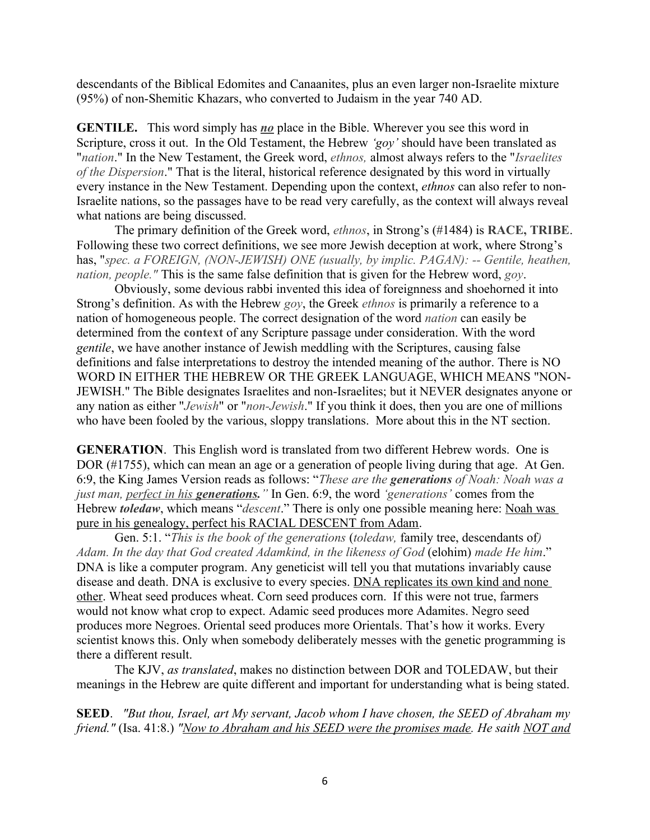descendants of the Biblical Edomites and Canaanites, plus an even larger non-Israelite mixture (95%) of non-Shemitic Khazars, who converted to Judaism in the year 740 AD.

**GENTILE.** This word simply has *no* place in the Bible. Wherever you see this word in Scripture, cross it out. In the Old Testament, the Hebrew *'goy'* should have been translated as "*nation*." In the New Testament, the Greek word, *ethnos,* almost always refers to the "*Israelites of the Dispersion*." That is the literal, historical reference designated by this word in virtually every instance in the New Testament. Depending upon the context, *ethnos* can also refer to non-Israelite nations, so the passages have to be read very carefully, as the context will always reveal what nations are being discussed.

The primary definition of the Greek word, *ethnos*, in Strong's (#1484) is **RACE, TRIBE**. Following these two correct definitions, we see more Jewish deception at work, where Strong's has, "*spec. a FOREIGN, (NON-JEWISH) ONE (usually, by implic. PAGAN): -- Gentile, heathen, nation, people."* This is the same false definition that is given for the Hebrew word, *goy*.

Obviously, some devious rabbi invented this idea of foreignness and shoehorned it into Strong's definition. As with the Hebrew *goy*, the Greek *ethnos* is primarily a reference to a nation of homogeneous people. The correct designation of the word *nation* can easily be determined from the **context** of any Scripture passage under consideration. With the word *gentile*, we have another instance of Jewish meddling with the Scriptures, causing false definitions and false interpretations to destroy the intended meaning of the author. There is NO WORD IN EITHER THE HEBREW OR THE GREEK LANGUAGE, WHICH MEANS "NON-JEWISH." The Bible designates Israelites and non-Israelites; but it NEVER designates anyone or any nation as either "*Jewish*" or "*non-Jewish*." If you think it does, then you are one of millions who have been fooled by the various, sloppy translations. More about this in the NT section.

**GENERATION**. This English word is translated from two different Hebrew words. One is DOR (#1755), which can mean an age or a generation of people living during that age. At Gen. 6:9, the King James Version reads as follows: "*These are the generations of Noah: Noah was a just man, perfect in his generations."* In Gen. 6:9, the word *'generations'* comes from the Hebrew *toledaw*, which means "*descent*." There is only one possible meaning here: Noah was pure in his genealogy, perfect his RACIAL DESCENT from Adam.

Gen. 5:1. "*This is the book of the generations* (*toledaw,* family tree, descendants of*) Adam. In the day that God created Adamkind, in the likeness of God* (elohim) *made He him*." DNA is like a computer program. Any geneticist will tell you that mutations invariably cause disease and death. DNA is exclusive to every species. DNA replicates its own kind and none other. Wheat seed produces wheat. Corn seed produces corn. If this were not true, farmers would not know what crop to expect. Adamic seed produces more Adamites. Negro seed produces more Negroes. Oriental seed produces more Orientals. That's how it works. Every scientist knows this. Only when somebody deliberately messes with the genetic programming is there a different result.

The KJV, *as translated*, makes no distinction between DOR and TOLEDAW, but their meanings in the Hebrew are quite different and important for understanding what is being stated.

**SEED**. *"But thou, Israel, art My servant, Jacob whom I have chosen, the SEED of Abraham my friend."* (Isa. 41:8.) *"Now to Abraham and his SEED were the promises made. He saith NOT and*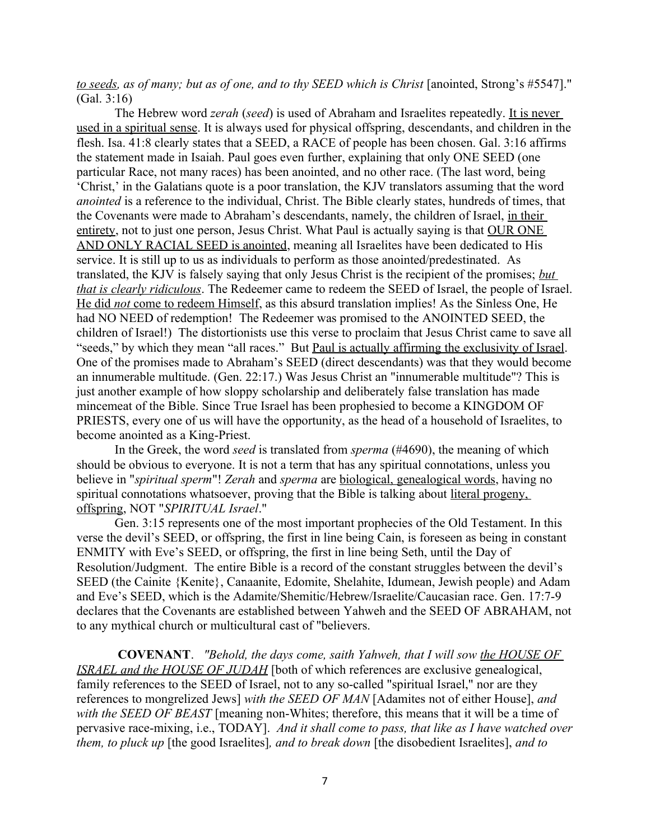*to seeds, as of many; but as of one, and to thy SEED which is Christ* [anointed, Strong's #5547]." (Gal. 3:16)

The Hebrew word *zerah* (*seed*) is used of Abraham and Israelites repeatedly. It is never used in a spiritual sense. It is always used for physical offspring, descendants, and children in the flesh. Isa. 41:8 clearly states that a SEED, a RACE of people has been chosen. Gal. 3:16 affirms the statement made in Isaiah. Paul goes even further, explaining that only ONE SEED (one particular Race, not many races) has been anointed, and no other race. (The last word, being 'Christ,' in the Galatians quote is a poor translation, the KJV translators assuming that the word *anointed* is a reference to the individual, Christ. The Bible clearly states, hundreds of times, that the Covenants were made to Abraham's descendants, namely, the children of Israel, in their entirety, not to just one person, Jesus Christ. What Paul is actually saying is that OUR ONE AND ONLY RACIAL SEED is anointed, meaning all Israelites have been dedicated to His service. It is still up to us as individuals to perform as those anointed/predestinated. As translated, the KJV is falsely saying that only Jesus Christ is the recipient of the promises; *but that is clearly ridiculous*. The Redeemer came to redeem the SEED of Israel, the people of Israel. He did *not* come to redeem Himself, as this absurd translation implies! As the Sinless One, He had NO NEED of redemption! The Redeemer was promised to the ANOINTED SEED, the children of Israel!) The distortionists use this verse to proclaim that Jesus Christ came to save all "seeds," by which they mean "all races." But Paul is actually affirming the exclusivity of Israel. One of the promises made to Abraham's SEED (direct descendants) was that they would become an innumerable multitude. (Gen. 22:17.) Was Jesus Christ an "innumerable multitude"? This is just another example of how sloppy scholarship and deliberately false translation has made mincemeat of the Bible. Since True Israel has been prophesied to become a KINGDOM OF PRIESTS, every one of us will have the opportunity, as the head of a household of Israelites, to become anointed as a King-Priest.

In the Greek, the word *seed* is translated from *sperma* (#4690), the meaning of which should be obvious to everyone. It is not a term that has any spiritual connotations, unless you believe in "*spiritual sperm*"! *Zerah* and *sperma* are biological, genealogical words, having no spiritual connotations whatsoever, proving that the Bible is talking about literal progeny, offspring, NOT "*SPIRITUAL Israel*."

Gen. 3:15 represents one of the most important prophecies of the Old Testament. In this verse the devil's SEED, or offspring, the first in line being Cain, is foreseen as being in constant ENMITY with Eve's SEED, or offspring, the first in line being Seth, until the Day of Resolution/Judgment. The entire Bible is a record of the constant struggles between the devil's SEED (the Cainite {Kenite}, Canaanite, Edomite, Shelahite, Idumean, Jewish people) and Adam and Eve's SEED, which is the Adamite/Shemitic/Hebrew/Israelite/Caucasian race. Gen. 17:7-9 declares that the Covenants are established between Yahweh and the SEED OF ABRAHAM, not to any mythical church or multicultural cast of "believers.

**COVENANT**. *"Behold, the days come, saith Yahweh, that I will sow the HOUSE OF ISRAEL and the HOUSE OF JUDAH* [both of which references are exclusive genealogical, family references to the SEED of Israel, not to any so-called "spiritual Israel," nor are they references to mongrelized Jews] *with the SEED OF MAN* [Adamites not of either House], *and with the SEED OF BEAST* [meaning non-Whites; therefore, this means that it will be a time of pervasive race-mixing, i.e., TODAY]. *And it shall come to pass, that like as I have watched over them, to pluck up* [the good Israelites]*, and to break down* [the disobedient Israelites], *and to*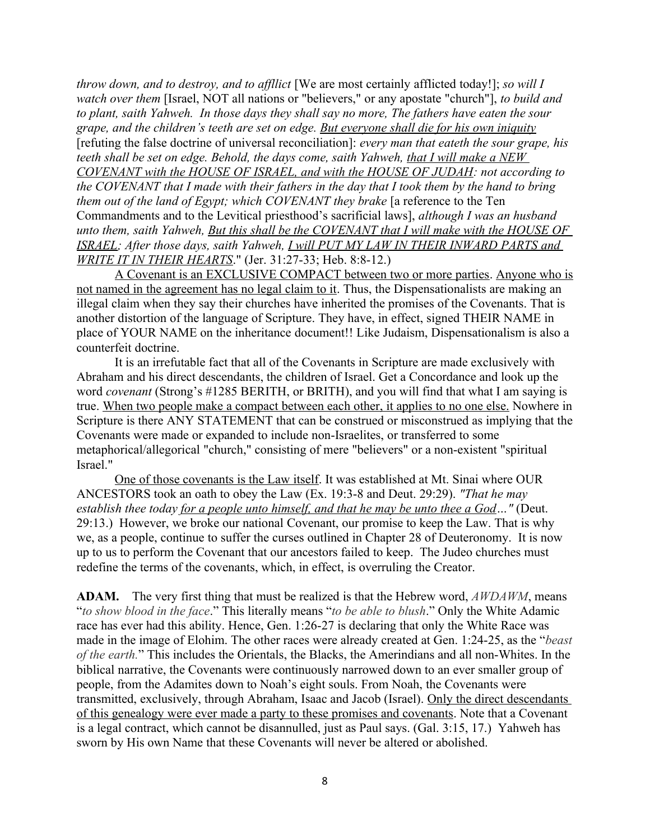*throw down, and to destroy, and to affllict* [We are most certainly afflicted today!]; *so will I watch over them* [Israel, NOT all nations or "believers," or any apostate "church"], *to build and to plant, saith Yahweh. In those days they shall say no more, The fathers have eaten the sour grape, and the children's teeth are set on edge. But everyone shall die for his own iniquity* [refuting the false doctrine of universal reconciliation]: *every man that eateth the sour grape, his teeth shall be set on edge. Behold, the days come, saith Yahweh, that I will make a NEW COVENANT with the HOUSE OF ISRAEL, and with the HOUSE OF JUDAH: not according to the COVENANT that I made with their fathers in the day that I took them by the hand to bring them out of the land of Egypt; which COVENANT they brake* [a reference to the Ten Commandments and to the Levitical priesthood's sacrificial laws], *although I was an husband unto them, saith Yahweh, But this shall be the COVENANT that I will make with the HOUSE OF ISRAEL; After those days, saith Yahweh, I will PUT MY LAW IN THEIR INWARD PARTS and WRITE IT IN THEIR HEARTS*." (Jer. 31:27-33; Heb. 8:8-12.)

A Covenant is an EXCLUSIVE COMPACT between two or more parties. Anyone who is not named in the agreement has no legal claim to it. Thus, the Dispensationalists are making an illegal claim when they say their churches have inherited the promises of the Covenants. That is another distortion of the language of Scripture. They have, in effect, signed THEIR NAME in place of YOUR NAME on the inheritance document!! Like Judaism, Dispensationalism is also a counterfeit doctrine.

It is an irrefutable fact that all of the Covenants in Scripture are made exclusively with Abraham and his direct descendants, the children of Israel. Get a Concordance and look up the word *covenant* (Strong's #1285 BERITH, or BRITH), and you will find that what I am saying is true. When two people make a compact between each other, it applies to no one else. Nowhere in Scripture is there ANY STATEMENT that can be construed or misconstrued as implying that the Covenants were made or expanded to include non-Israelites, or transferred to some metaphorical/allegorical "church," consisting of mere "believers" or a non-existent "spiritual Israel."

One of those covenants is the Law itself. It was established at Mt. Sinai where OUR ANCESTORS took an oath to obey the Law (Ex. 19:3-8 and Deut. 29:29). *"That he may establish thee today for a people unto himself, and that he may be unto thee a God..."* (Deut. 29:13.) However, we broke our national Covenant, our promise to keep the Law. That is why we, as a people, continue to suffer the curses outlined in Chapter 28 of Deuteronomy. It is now up to us to perform the Covenant that our ancestors failed to keep. The Judeo churches must redefine the terms of the covenants, which, in effect, is overruling the Creator.

**ADAM.** The very first thing that must be realized is that the Hebrew word, *AWDAWM*, means "*to show blood in the face*." This literally means "*to be able to blush*." Only the White Adamic race has ever had this ability. Hence, Gen. 1:26-27 is declaring that only the White Race was made in the image of Elohim. The other races were already created at Gen. 1:24-25, as the "*beast of the earth.*" This includes the Orientals, the Blacks, the Amerindians and all non-Whites. In the biblical narrative, the Covenants were continuously narrowed down to an ever smaller group of people, from the Adamites down to Noah's eight souls. From Noah, the Covenants were transmitted, exclusively, through Abraham, Isaac and Jacob (Israel). Only the direct descendants of this genealogy were ever made a party to these promises and covenants. Note that a Covenant is a legal contract, which cannot be disannulled, just as Paul says. (Gal. 3:15, 17.) Yahweh has sworn by His own Name that these Covenants will never be altered or abolished.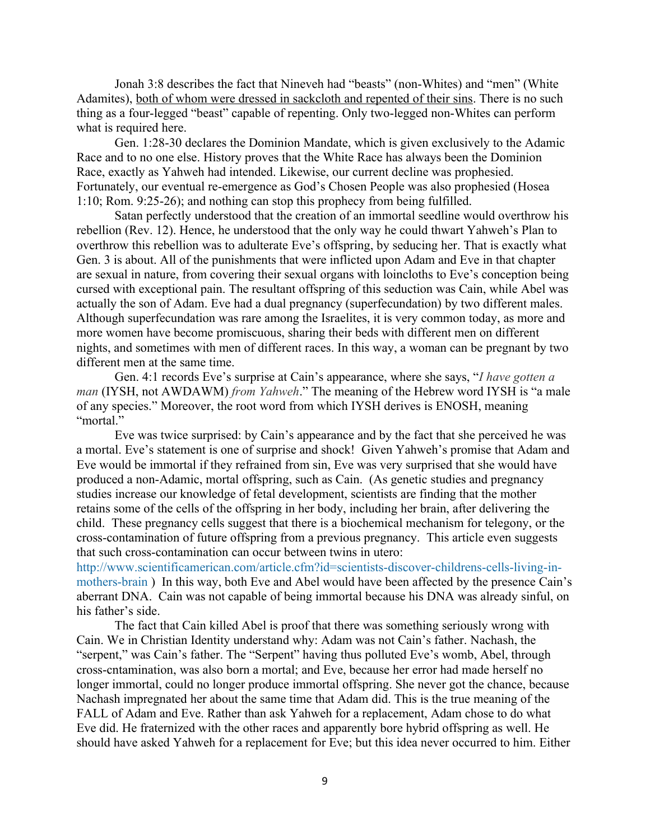Jonah 3:8 describes the fact that Nineveh had "beasts" (non-Whites) and "men" (White Adamites), both of whom were dressed in sackcloth and repented of their sins. There is no such thing as a four-legged "beast" capable of repenting. Only two-legged non-Whites can perform what is required here.

Gen. 1:28-30 declares the Dominion Mandate, which is given exclusively to the Adamic Race and to no one else. History proves that the White Race has always been the Dominion Race, exactly as Yahweh had intended. Likewise, our current decline was prophesied. Fortunately, our eventual re-emergence as God's Chosen People was also prophesied (Hosea 1:10; Rom. 9:25-26); and nothing can stop this prophecy from being fulfilled.

Satan perfectly understood that the creation of an immortal seedline would overthrow his rebellion (Rev. 12). Hence, he understood that the only way he could thwart Yahweh's Plan to overthrow this rebellion was to adulterate Eve's offspring, by seducing her. That is exactly what Gen. 3 is about. All of the punishments that were inflicted upon Adam and Eve in that chapter are sexual in nature, from covering their sexual organs with loincloths to Eve's conception being cursed with exceptional pain. The resultant offspring of this seduction was Cain, while Abel was actually the son of Adam. Eve had a dual pregnancy (superfecundation) by two different males. Although superfecundation was rare among the Israelites, it is very common today, as more and more women have become promiscuous, sharing their beds with different men on different nights, and sometimes with men of different races. In this way, a woman can be pregnant by two different men at the same time.

Gen. 4:1 records Eve's surprise at Cain's appearance, where she says, "*I have gotten a man* (IYSH, not AWDAWM) *from Yahweh*." The meaning of the Hebrew word IYSH is "a male of any species." Moreover, the root word from which IYSH derives is ENOSH, meaning "mortal."

Eve was twice surprised: by Cain's appearance and by the fact that she perceived he was a mortal. Eve's statement is one of surprise and shock! Given Yahweh's promise that Adam and Eve would be immortal if they refrained from sin, Eve was very surprised that she would have produced a non-Adamic, mortal offspring, such as Cain. (As genetic studies and pregnancy studies increase our knowledge of fetal development, scientists are finding that the mother retains some of the cells of the offspring in her body, including her brain, after delivering the child. These pregnancy cells suggest that there is a biochemical mechanism for telegony, or the cross-contamination of future offspring from a previous pregnancy. This article even suggests that such cross-contamination can occur between twins in utero:

[http://www.scientificamerican.com/article.cfm?id=scientists-discover-childrens-cells-living-in](http://www.scientificamerican.com/article.cfm?id=scientists-discover-childrens-cells-living-in-mothers-brain)[mothers-brain](http://www.scientificamerican.com/article.cfm?id=scientists-discover-childrens-cells-living-in-mothers-brain) ) In this way, both Eve and Abel would have been affected by the presence Cain's aberrant DNA. Cain was not capable of being immortal because his DNA was already sinful, on his father's side.

The fact that Cain killed Abel is proof that there was something seriously wrong with Cain. We in Christian Identity understand why: Adam was not Cain's father. Nachash, the "serpent," was Cain's father. The "Serpent" having thus polluted Eve's womb, Abel, through cross-cntamination, was also born a mortal; and Eve, because her error had made herself no longer immortal, could no longer produce immortal offspring. She never got the chance, because Nachash impregnated her about the same time that Adam did. This is the true meaning of the FALL of Adam and Eve. Rather than ask Yahweh for a replacement, Adam chose to do what Eve did. He fraternized with the other races and apparently bore hybrid offspring as well. He should have asked Yahweh for a replacement for Eve; but this idea never occurred to him. Either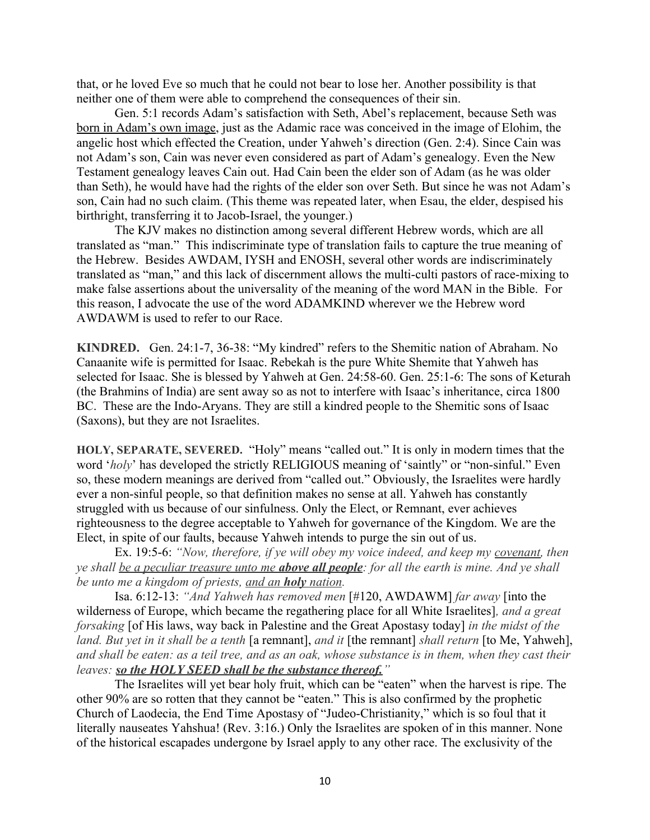that, or he loved Eve so much that he could not bear to lose her. Another possibility is that neither one of them were able to comprehend the consequences of their sin.

Gen. 5:1 records Adam's satisfaction with Seth, Abel's replacement, because Seth was born in Adam's own image, just as the Adamic race was conceived in the image of Elohim, the angelic host which effected the Creation, under Yahweh's direction (Gen. 2:4). Since Cain was not Adam's son, Cain was never even considered as part of Adam's genealogy. Even the New Testament genealogy leaves Cain out. Had Cain been the elder son of Adam (as he was older than Seth), he would have had the rights of the elder son over Seth. But since he was not Adam's son, Cain had no such claim. (This theme was repeated later, when Esau, the elder, despised his birthright, transferring it to Jacob-Israel, the younger.)

The KJV makes no distinction among several different Hebrew words, which are all translated as "man." This indiscriminate type of translation fails to capture the true meaning of the Hebrew. Besides AWDAM, IYSH and ENOSH, several other words are indiscriminately translated as "man," and this lack of discernment allows the multi-culti pastors of race-mixing to make false assertions about the universality of the meaning of the word MAN in the Bible. For this reason, I advocate the use of the word ADAMKIND wherever we the Hebrew word AWDAWM is used to refer to our Race.

**KINDRED.** Gen. 24:1-7, 36-38: "My kindred" refers to the Shemitic nation of Abraham. No Canaanite wife is permitted for Isaac. Rebekah is the pure White Shemite that Yahweh has selected for Isaac. She is blessed by Yahweh at Gen. 24:58-60. Gen. 25:1-6: The sons of Keturah (the Brahmins of India) are sent away so as not to interfere with Isaac's inheritance, circa 1800 BC. These are the Indo-Aryans. They are still a kindred people to the Shemitic sons of Isaac (Saxons), but they are not Israelites.

**HOLY, SEPARATE, SEVERED.** "Holy" means "called out." It is only in modern times that the word '*holy*' has developed the strictly RELIGIOUS meaning of 'saintly" or "non-sinful." Even so, these modern meanings are derived from "called out." Obviously, the Israelites were hardly ever a non-sinful people, so that definition makes no sense at all. Yahweh has constantly struggled with us because of our sinfulness. Only the Elect, or Remnant, ever achieves righteousness to the degree acceptable to Yahweh for governance of the Kingdom. We are the Elect, in spite of our faults, because Yahweh intends to purge the sin out of us.

Ex. 19:5-6: *"Now, therefore, if ye will obey my voice indeed, and keep my covenant, then ye shall be a peculiar treasure unto me above all people: for all the earth is mine. And ye shall be unto me a kingdom of priests, and an holy nation.* 

Isa. 6:12-13: *"And Yahweh has removed men* [#120, AWDAWM] *far away* [into the wilderness of Europe, which became the regathering place for all White Israelites]*, and a great forsaking* [of His laws, way back in Palestine and the Great Apostasy today] *in the midst of the land. But yet in it shall be a tenth* [a remnant], *and it* [the remnant] *shall return* [to Me, Yahweh], *and shall be eaten: as a teil tree, and as an oak, whose substance is in them, when they cast their leaves: so the HOLY SEED shall be the substance thereof."*

The Israelites will yet bear holy fruit, which can be "eaten" when the harvest is ripe. The other 90% are so rotten that they cannot be "eaten." This is also confirmed by the prophetic Church of Laodecia, the End Time Apostasy of "Judeo-Christianity," which is so foul that it literally nauseates Yahshua! (Rev. 3:16.) Only the Israelites are spoken of in this manner. None of the historical escapades undergone by Israel apply to any other race. The exclusivity of the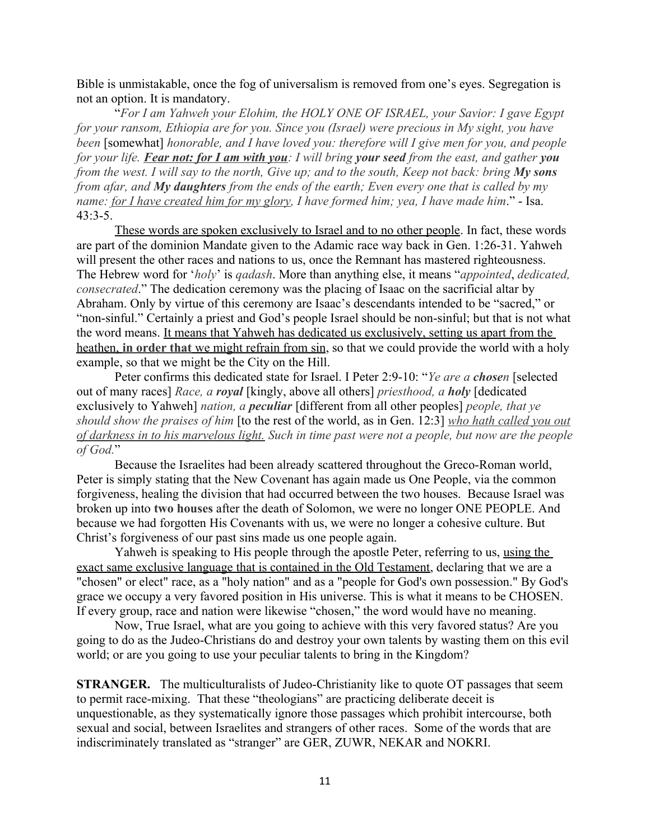Bible is unmistakable, once the fog of universalism is removed from one's eyes. Segregation is not an option. It is mandatory.

"*For I am Yahweh your Elohim, the HOLY ONE OF ISRAEL, your Savior: I gave Egypt for your ransom, Ethiopia are for you. Since you (Israel) were precious in My sight, you have been* [somewhat] *honorable, and I have loved you: therefore will I give men for you, and people for your life. Fear not: for I am with you: I will bring your seed from the east, and gather you from the west. I will say to the north, Give up; and to the south, Keep not back: bring My sons from afar, and My daughters from the ends of the earth; Even every one that is called by my name: for I have created him for my glory, I have formed him; yea, I have made him*." - Isa. 43:3-5.

These words are spoken exclusively to Israel and to no other people. In fact, these words are part of the dominion Mandate given to the Adamic race way back in Gen. 1:26-31. Yahweh will present the other races and nations to us, once the Remnant has mastered righteousness. The Hebrew word for '*holy*' is *qadash*. More than anything else, it means "*appointed*, *dedicated, consecrated*." The dedication ceremony was the placing of Isaac on the sacrificial altar by Abraham. Only by virtue of this ceremony are Isaac's descendants intended to be "sacred," or "non-sinful." Certainly a priest and God's people Israel should be non-sinful; but that is not what the word means. It means that Yahweh has dedicated us exclusively, setting us apart from the heathen, **in order that** we might refrain from sin, so that we could provide the world with a holy example, so that we might be the City on the Hill.

Peter confirms this dedicated state for Israel. I Peter 2:9-10: "*Ye are a chosen* [selected out of many races] *Race, a royal* [kingly, above all others] *priesthood, a holy* [dedicated exclusively to Yahweh] *nation, a peculiar* [different from all other peoples] *people, that ye should show the praises of him* [to the rest of the world, as in Gen. 12:3] *who hath called you out of darkness in to his marvelous light. Such in time past were not a people, but now are the people of God.*"

Because the Israelites had been already scattered throughout the Greco-Roman world, Peter is simply stating that the New Covenant has again made us One People, via the common forgiveness, healing the division that had occurred between the two houses. Because Israel was broken up into **two houses** after the death of Solomon, we were no longer ONE PEOPLE. And because we had forgotten His Covenants with us, we were no longer a cohesive culture. But Christ's forgiveness of our past sins made us one people again.

Yahweh is speaking to His people through the apostle Peter, referring to us, using the exact same exclusive language that is contained in the Old Testament, declaring that we are a "chosen" or elect" race, as a "holy nation" and as a "people for God's own possession." By God's grace we occupy a very favored position in His universe. This is what it means to be CHOSEN. If every group, race and nation were likewise "chosen," the word would have no meaning.

Now, True Israel, what are you going to achieve with this very favored status? Are you going to do as the Judeo-Christians do and destroy your own talents by wasting them on this evil world; or are you going to use your peculiar talents to bring in the Kingdom?

**STRANGER.** The multiculturalists of Judeo-Christianity like to quote OT passages that seem to permit race-mixing. That these "theologians" are practicing deliberate deceit is unquestionable, as they systematically ignore those passages which prohibit intercourse, both sexual and social, between Israelites and strangers of other races. Some of the words that are indiscriminately translated as "stranger" are GER, ZUWR, NEKAR and NOKRI.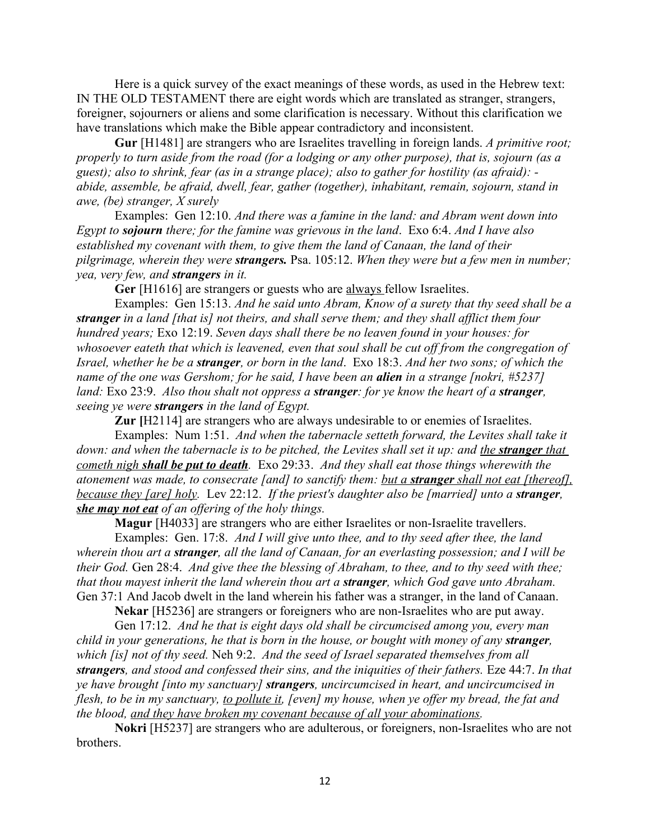Here is a quick survey of the exact meanings of these words, as used in the Hebrew text: IN THE OLD TESTAMENT there are eight words which are translated as stranger, strangers, foreigner, sojourners or aliens and some clarification is necessary. Without this clarification we have translations which make the Bible appear contradictory and inconsistent.

**Gur** [H1481] are strangers who are Israelites travelling in foreign lands. *A primitive root; properly to turn aside from the road (for a lodging or any other purpose), that is, sojourn (as a guest); also to shrink, fear (as in a strange place); also to gather for hostility (as afraid): abide, assemble, be afraid, dwell, fear, gather (together), inhabitant, remain, sojourn, stand in awe, (be) stranger, X surely*

Examples: Gen 12:10. *And there was a famine in the land: and Abram went down into Egypt to sojourn there; for the famine was grievous in the land*. Exo 6:4. *And I have also established my covenant with them, to give them the land of Canaan, the land of their pilgrimage, wherein they were strangers.* Psa. 105:12. *When they were but a few men in number; yea, very few, and strangers in it.* 

Ger [H1616] are strangers or guests who are always fellow Israelites.

Examples: Gen 15:13. *And he said unto Abram, Know of a surety that thy seed shall be a stranger in a land [that is] not theirs, and shall serve them; and they shall afflict them four hundred years;* Exo 12:19. *Seven days shall there be no leaven found in your houses: for whosoever eateth that which is leavened, even that soul shall be cut off from the congregation of Israel, whether he be a stranger, or born in the land*. Exo 18:3. *And her two sons; of which the name of the one was Gershom; for he said, I have been an alien in a strange [nokri, #5237] land:* Exo 23:9. *Also thou shalt not oppress a stranger: for ye know the heart of a stranger, seeing ye were strangers in the land of Egypt.* 

**Zur** [H2114] are strangers who are always undesirable to or enemies of Israelites.

Examples: Num 1:51. *And when the tabernacle setteth forward, the Levites shall take it down: and when the tabernacle is to be pitched, the Levites shall set it up: and the <i>stranger* that  *cometh nigh shall be put to death.* Exo 29:33. *And they shall eat those things wherewith the atonement was made, to consecrate [and] to sanctify them: but a stranger shall not eat [thereof], because they [are] holy.* Lev 22:12. *If the priest's daughter also be [married] unto a stranger, she may not eat of an offering of the holy things.*

**Magur** [H4033] are strangers who are either Israelites or non-Israelite travellers.

Examples: Gen. 17:8. *And I will give unto thee, and to thy seed after thee, the land wherein thou art a stranger, all the land of Canaan, for an everlasting possession; and I will be their God.* Gen 28:4. *And give thee the blessing of Abraham, to thee, and to thy seed with thee; that thou mayest inherit the land wherein thou art a stranger, which God gave unto Abraham.*  Gen 37:1 And Jacob dwelt in the land wherein his father was a stranger, in the land of Canaan.

**Nekar** [H5236] are strangers or foreigners who are non-Israelites who are put away.

Gen 17:12. *And he that is eight days old shall be circumcised among you, every man child in your generations, he that is born in the house, or bought with money of any stranger, which [is] not of thy seed.* Neh 9:2. *And the seed of Israel separated themselves from all strangers, and stood and confessed their sins, and the iniquities of their fathers.* Eze 44:7. *In that ye have brought [into my sanctuary] strangers, uncircumcised in heart, and uncircumcised in flesh, to be in my sanctuary, to pollute it, [even] my house, when ye offer my bread, the fat and the blood, and they have broken my covenant because of all your abominations.* 

**Nokri** [H5237] are strangers who are adulterous, or foreigners, non-Israelites who are [not](http://www.fathersmanifesto.net/nokriy.htm) [brothers](http://www.fathersmanifesto.net/nokriy.htm).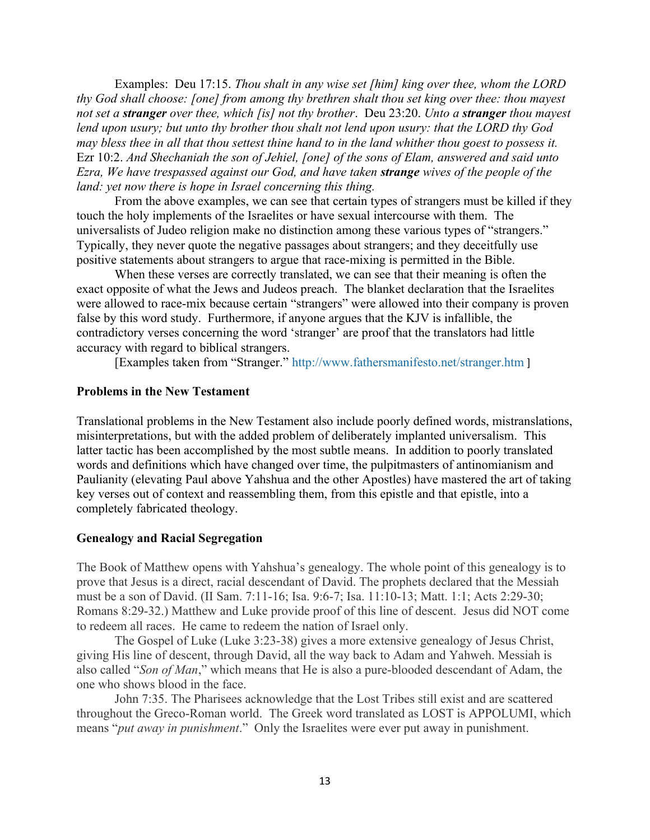Examples: Deu 17:15. *Thou shalt in any wise set [him] king over thee, whom the LORD thy God shall choose: [one] from among thy brethren shalt thou set king over thee: thou mayest not set a stranger over thee, which [is] not thy brother*. Deu 23:20. *Unto a stranger thou mayest lend upon usury; but unto thy brother thou shalt not lend upon usury: that the LORD thy God may bless thee in all that thou settest thine hand to in the land whither thou goest to possess it.* Ezr 10:2. *And Shechaniah the son of Jehiel, [one] of the sons of Elam, answered and said unto Ezra, We have trespassed against our God, and have taken strange wives of the people of the land: yet now there is hope in Israel concerning this thing.*

From the above examples, we can see that certain types of strangers must be killed if they touch the holy implements of the Israelites or have sexual intercourse with them. The universalists of Judeo religion make no distinction among these various types of "strangers." Typically, they never quote the negative passages about strangers; and they deceitfully use positive statements about strangers to argue that race-mixing is permitted in the Bible.

When these verses are correctly translated, we can see that their meaning is often the exact opposite of what the Jews and Judeos preach. The blanket declaration that the Israelites were allowed to race-mix because certain "strangers" were allowed into their company is proven false by this word study. Furthermore, if anyone argues that the KJV is infallible, the contradictory verses concerning the word 'stranger' are proof that the translators had little accuracy with regard to biblical strangers.

[Examples taken from "Stranger." <http://www.fathersmanifesto.net/stranger.htm> ]

#### **Problems in the New Testament**

Translational problems in the New Testament also include poorly defined words, mistranslations, misinterpretations, but with the added problem of deliberately implanted universalism. This latter tactic has been accomplished by the most subtle means. In addition to poorly translated words and definitions which have changed over time, the pulpitmasters of antinomianism and Paulianity (elevating Paul above Yahshua and the other Apostles) have mastered the art of taking key verses out of context and reassembling them, from this epistle and that epistle, into a completely fabricated theology.

#### **Genealogy and Racial Segregation**

The Book of Matthew opens with Yahshua's genealogy. The whole point of this genealogy is to prove that Jesus is a direct, racial descendant of David. The prophets declared that the Messiah must be a son of David. (II Sam. 7:11-16; Isa. 9:6-7; Isa. 11:10-13; Matt. 1:1; Acts 2:29-30; Romans 8:29-32.) Matthew and Luke provide proof of this line of descent. Jesus did NOT come to redeem all races. He came to redeem the nation of Israel only.

The Gospel of Luke (Luke 3:23-38) gives a more extensive genealogy of Jesus Christ, giving His line of descent, through David, all the way back to Adam and Yahweh. Messiah is also called "*Son of Man*," which means that He is also a pure-blooded descendant of Adam, the one who shows blood in the face.

John 7:35. The Pharisees acknowledge that the Lost Tribes still exist and are scattered throughout the Greco-Roman world. The Greek word translated as LOST is APPOLUMI, which means "*put away in punishment*." Only the Israelites were ever put away in punishment.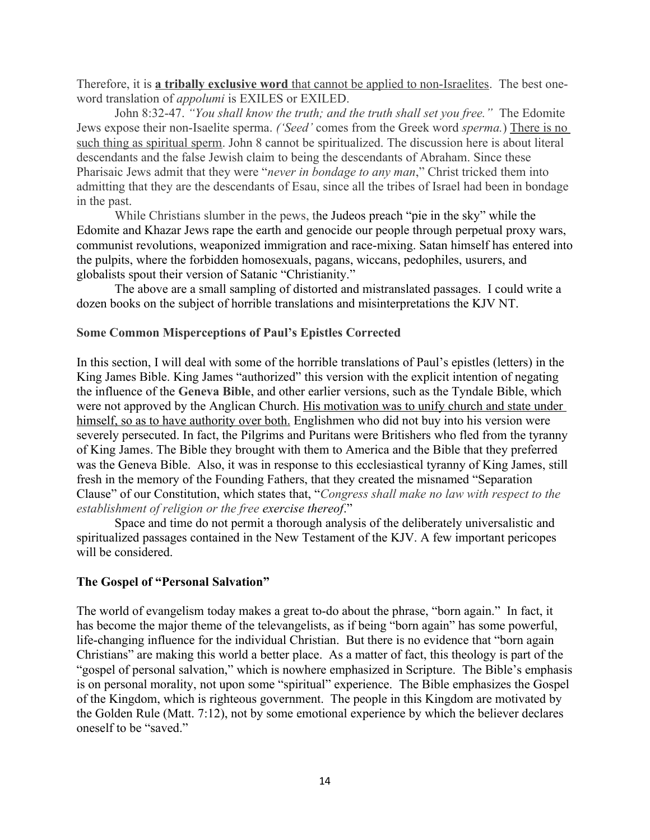Therefore, it is **a tribally exclusive word** that cannot be applied to non-Israelites. The best oneword translation of *appolumi* is EXILES or EXILED.

John 8:32-47. *"You shall know the truth; and the truth shall set you free."* The Edomite Jews expose their non-Isaelite sperma. *('Seed'* comes from the Greek word *sperma.*) There is no such thing as spiritual sperm. John 8 cannot be spiritualized. The discussion here is about literal descendants and the false Jewish claim to being the descendants of Abraham. Since these Pharisaic Jews admit that they were "*never in bondage to any man*," Christ tricked them into admitting that they are the descendants of Esau, since all the tribes of Israel had been in bondage in the past.

While Christians slumber in the pews, the Judeos preach "pie in the sky" while the Edomite and Khazar Jews rape the earth and genocide our people through perpetual proxy wars, communist revolutions, weaponized immigration and race-mixing. Satan himself has entered into the pulpits, where the forbidden homosexuals, pagans, wiccans, pedophiles, usurers, and globalists spout their version of Satanic "Christianity."

The above are a small sampling of distorted and mistranslated passages. I could write a dozen books on the subject of horrible translations and misinterpretations the KJV NT.

#### **Some Common Misperceptions of Paul's Epistles Corrected**

In this section, I will deal with some of the horrible translations of Paul's epistles (letters) in the King James Bible. King James "authorized" this version with the explicit intention of negating the influence of the **Geneva Bible**, and other earlier versions, such as the Tyndale Bible, which were not approved by the Anglican Church. His motivation was to unify church and state under himself, so as to have authority over both. Englishmen who did not buy into his version were severely persecuted. In fact, the Pilgrims and Puritans were Britishers who fled from the tyranny of King James. The Bible they brought with them to America and the Bible that they preferred was the Geneva Bible. Also, it was in response to this ecclesiastical tyranny of King James, still fresh in the memory of the Founding Fathers, that they created the misnamed "Separation Clause" of our Constitution, which states that, "*Congress shall make no law with respect to the establishment of religion or the free exercise thereof*."

Space and time do not permit a thorough analysis of the deliberately universalistic and spiritualized passages contained in the New Testament of the KJV. A few important pericopes will be considered.

#### **The Gospel of "Personal Salvation"**

The world of evangelism today makes a great to-do about the phrase, "born again." In fact, it has become the major theme of the televangelists, as if being "born again" has some powerful, life-changing influence for the individual Christian. But there is no evidence that "born again Christians" are making this world a better place. As a matter of fact, this theology is part of the "gospel of personal salvation," which is nowhere emphasized in Scripture. The Bible's emphasis is on personal morality, not upon some "spiritual" experience. The Bible emphasizes the Gospel of the Kingdom, which is righteous government. The people in this Kingdom are motivated by the Golden Rule (Matt. 7:12), not by some emotional experience by which the believer declares oneself to be "saved."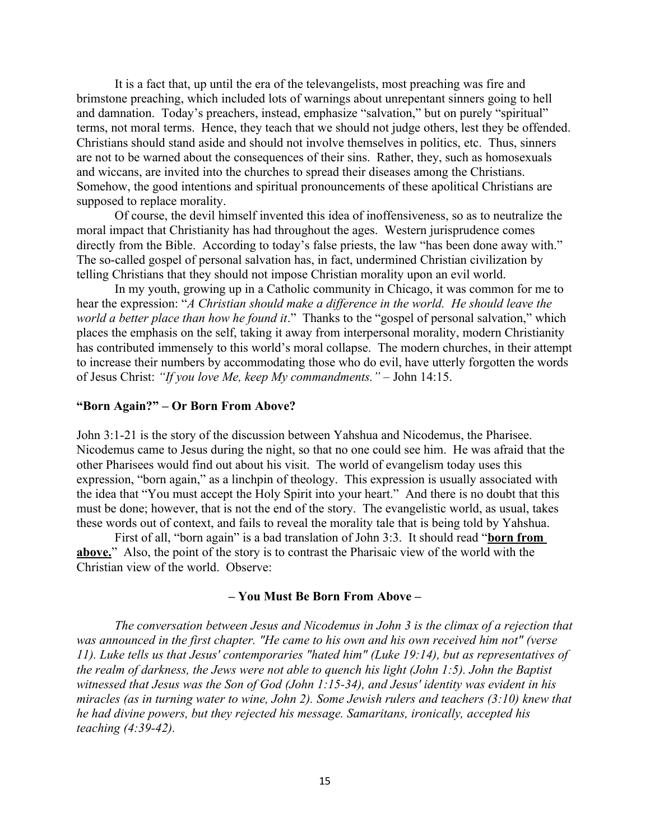It is a fact that, up until the era of the televangelists, most preaching was fire and brimstone preaching, which included lots of warnings about unrepentant sinners going to hell and damnation. Today's preachers, instead, emphasize "salvation," but on purely "spiritual" terms, not moral terms. Hence, they teach that we should not judge others, lest they be offended. Christians should stand aside and should not involve themselves in politics, etc. Thus, sinners are not to be warned about the consequences of their sins. Rather, they, such as homosexuals and wiccans, are invited into the churches to spread their diseases among the Christians. Somehow, the good intentions and spiritual pronouncements of these apolitical Christians are supposed to replace morality.

Of course, the devil himself invented this idea of inoffensiveness, so as to neutralize the moral impact that Christianity has had throughout the ages. Western jurisprudence comes directly from the Bible. According to today's false priests, the law "has been done away with." The so-called gospel of personal salvation has, in fact, undermined Christian civilization by telling Christians that they should not impose Christian morality upon an evil world.

In my youth, growing up in a Catholic community in Chicago, it was common for me to hear the expression: "*A Christian should make a difference in the world. He should leave the world a better place than how he found it*." Thanks to the "gospel of personal salvation," which places the emphasis on the self, taking it away from interpersonal morality, modern Christianity has contributed immensely to this world's moral collapse. The modern churches, in their attempt to increase their numbers by accommodating those who do evil, have utterly forgotten the words of Jesus Christ: *"If you love Me, keep My commandments." –* John 14:15.

#### **"Born Again?" – Or Born From Above?**

John 3:1-21 is the story of the discussion between Yahshua and Nicodemus, the Pharisee. Nicodemus came to Jesus during the night, so that no one could see him. He was afraid that the other Pharisees would find out about his visit. The world of evangelism today uses this expression, "born again," as a linchpin of theology. This expression is usually associated with the idea that "You must accept the Holy Spirit into your heart." And there is no doubt that this must be done; however, that is not the end of the story. The evangelistic world, as usual, takes these words out of context, and fails to reveal the morality tale that is being told by Yahshua.

First of all, "born again" is a bad translation of John 3:3. It should read "**born from above.**" Also, the point of the story is to contrast the Pharisaic view of the world with the Christian view of the world. Observe:

#### **– You Must Be Born From Above –**

*The conversation between Jesus and Nicodemus in John 3 is the climax of a rejection that was announced in the first chapter. "He came to his own and his own received him not" (verse 11). Luke tells us that Jesus' contemporaries "hated him" (Luke 19:14), but as representatives of the realm of darkness, the Jews were not able to quench his light (John 1:5). John the Baptist witnessed that Jesus was the Son of God (John 1:15-34), and Jesus' identity was evident in his miracles (as in turning water to wine, John 2). Some Jewish rulers and teachers (3:10) knew that he had divine powers, but they rejected his message. Samaritans, ironically, accepted his teaching (4:39-42).*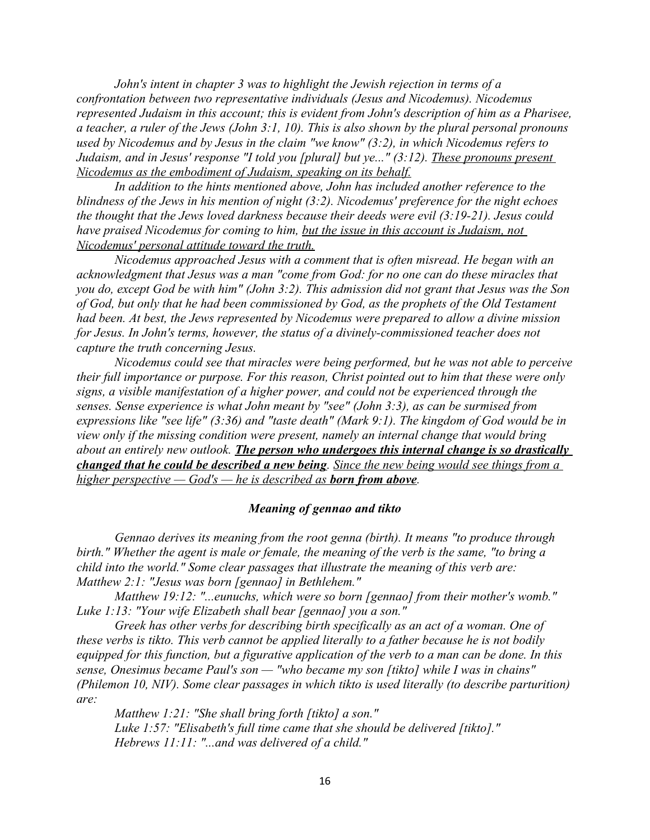*John's intent in chapter 3 was to highlight the Jewish rejection in terms of a confrontation between two representative individuals (Jesus and Nicodemus). Nicodemus represented Judaism in this account; this is evident from John's description of him as a Pharisee, a teacher, a ruler of the Jews (John 3:1, 10). This is also shown by the plural personal pronouns used by Nicodemus and by Jesus in the claim "we know" (3:2), in which Nicodemus refers to Judaism, and in Jesus' response "I told you [plural] but ye..." (3:12). These pronouns present Nicodemus as the embodiment of Judaism, speaking on its behalf.*

*In addition to the hints mentioned above, John has included another reference to the blindness of the Jews in his mention of night (3:2). Nicodemus' preference for the night echoes the thought that the Jews loved darkness because their deeds were evil (3:19-21). Jesus could have praised Nicodemus for coming to him, but the issue in this account is Judaism, not Nicodemus' personal attitude toward the truth.*

*Nicodemus approached Jesus with a comment that is often misread. He began with an acknowledgment that Jesus was a man "come from God: for no one can do these miracles that you do, except God be with him" (John 3:2). This admission did not grant that Jesus was the Son of God, but only that he had been commissioned by God, as the prophets of the Old Testament had been. At best, the Jews represented by Nicodemus were prepared to allow a divine mission for Jesus. In John's terms, however, the status of a divinely-commissioned teacher does not capture the truth concerning Jesus.*

*Nicodemus could see that miracles were being performed, but he was not able to perceive their full importance or purpose. For this reason, Christ pointed out to him that these were only signs, a visible manifestation of a higher power, and could not be experienced through the senses. Sense experience is what John meant by "see" (John 3:3), as can be surmised from expressions like "see life" (3:36) and "taste death" (Mark 9:1). The kingdom of God would be in view only if the missing condition were present, namely an internal change that would bring about an entirely new outlook. The person who undergoes this internal change is so drastically changed that he could be described a new being. Since the new being would see things from a higher perspective — God's — he is described as born from above.*

### *Meaning of gennao and tikto*

*Gennao derives its meaning from the root genna (birth). It means "to produce through birth." Whether the agent is male or female, the meaning of the verb is the same, "to bring a child into the world." Some clear passages that illustrate the meaning of this verb are: Matthew 2:1: "Jesus was born [gennao] in Bethlehem."*

*Matthew 19:12: "...eunuchs, which were so born [gennao] from their mother's womb." Luke 1:13: "Your wife Elizabeth shall bear [gennao] you a son."*

*Greek has other verbs for describing birth specifically as an act of a woman. One of these verbs is tikto. This verb cannot be applied literally to a father because he is not bodily equipped for this function, but a figurative application of the verb to a man can be done. In this sense, Onesimus became Paul's son — "who became my son [tikto] while I was in chains" (Philemon 10, NIV). Some clear passages in which tikto is used literally (to describe parturition) are:*

*Matthew 1:21: "She shall bring forth [tikto] a son." Luke 1:57: "Elisabeth's full time came that she should be delivered [tikto]." Hebrews 11:11: "...and was delivered of a child."*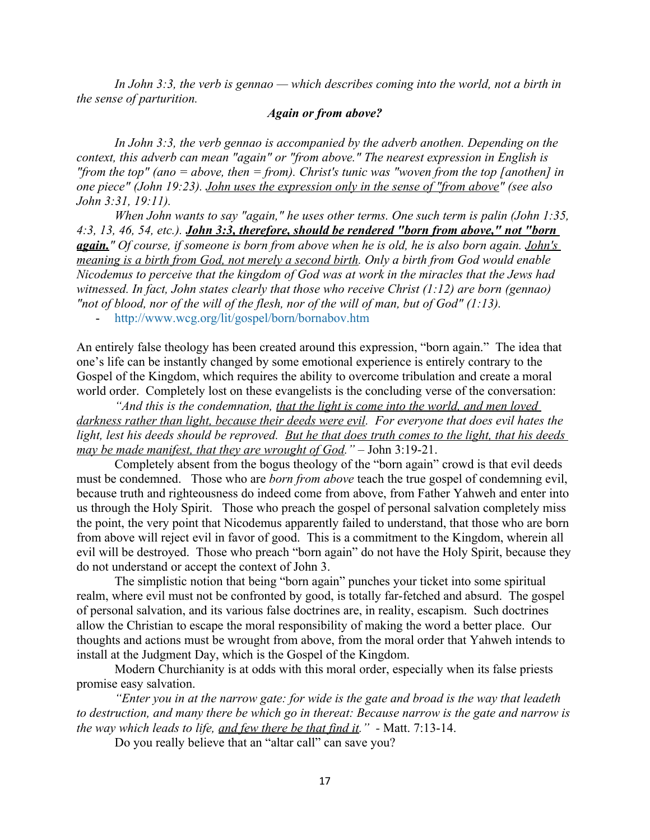*In John 3:3, the verb is gennao — which describes coming into the world, not a birth in the sense of parturition.*

#### *Again or from above?*

In John 3:3, the verb gennao is accompanied by the adverb anothen. Depending on the *context, this adverb can mean "again" or "from above." The nearest expression in English is "from the top" (ano = above, then = from). Christ's tunic was "woven from the top [anothen] in one piece" (John 19:23). John uses the expression only in the sense of "from above" (see also John 3:31, 19:11).*

*When John wants to say "again," he uses other terms. One such term is palin (John 1:35, 4:3, 13, 46, 54, etc.). John 3:3, therefore, should be rendered "born from above," not "born again." Of course, if someone is born from above when he is old, he is also born again. John's meaning is a birth from God, not merely a second birth. Only a birth from God would enable Nicodemus to perceive that the kingdom of God was at work in the miracles that the Jews had witnessed. In fact, John states clearly that those who receive Christ (1:12) are born (gennao) "not of blood, nor of the will of the flesh, nor of the will of man, but of God" (1:13).*

- <http://www.wcg.org/lit/gospel/born/bornabov.htm>

An entirely false theology has been created around this expression, "born again." The idea that one's life can be instantly changed by some emotional experience is entirely contrary to the Gospel of the Kingdom, which requires the ability to overcome tribulation and create a moral world order. Completely lost on these evangelists is the concluding verse of the conversation:

*"And this is the condemnation, that the light is come into the world, and men loved darkness rather than light, because their deeds were evil. For everyone that does evil hates the light, lest his deeds should be reproved. But he that does truth comes to the light, that his deeds may be made manifest, that they are wrought of God.*" – John 3:19-21.

Completely absent from the bogus theology of the "born again" crowd is that evil deeds must be condemned. Those who are *born from above* teach the true gospel of condemning evil, because truth and righteousness do indeed come from above, from Father Yahweh and enter into us through the Holy Spirit. Those who preach the gospel of personal salvation completely miss the point, the very point that Nicodemus apparently failed to understand, that those who are born from above will reject evil in favor of good. This is a commitment to the Kingdom, wherein all evil will be destroyed. Those who preach "born again" do not have the Holy Spirit, because they do not understand or accept the context of John 3.

The simplistic notion that being "born again" punches your ticket into some spiritual realm, where evil must not be confronted by good, is totally far-fetched and absurd. The gospel of personal salvation, and its various false doctrines are, in reality, escapism. Such doctrines allow the Christian to escape the moral responsibility of making the word a better place. Our thoughts and actions must be wrought from above, from the moral order that Yahweh intends to install at the Judgment Day, which is the Gospel of the Kingdom.

Modern Churchianity is at odds with this moral order, especially when its false priests promise easy salvation.

*"Enter you in at the narrow gate: for wide is the gate and broad is the way that leadeth to destruction, and many there be which go in thereat: Because narrow is the gate and narrow is the way which leads to life, and few there be that find it."* - Matt. 7:13-14.

Do you really believe that an "altar call" can save you?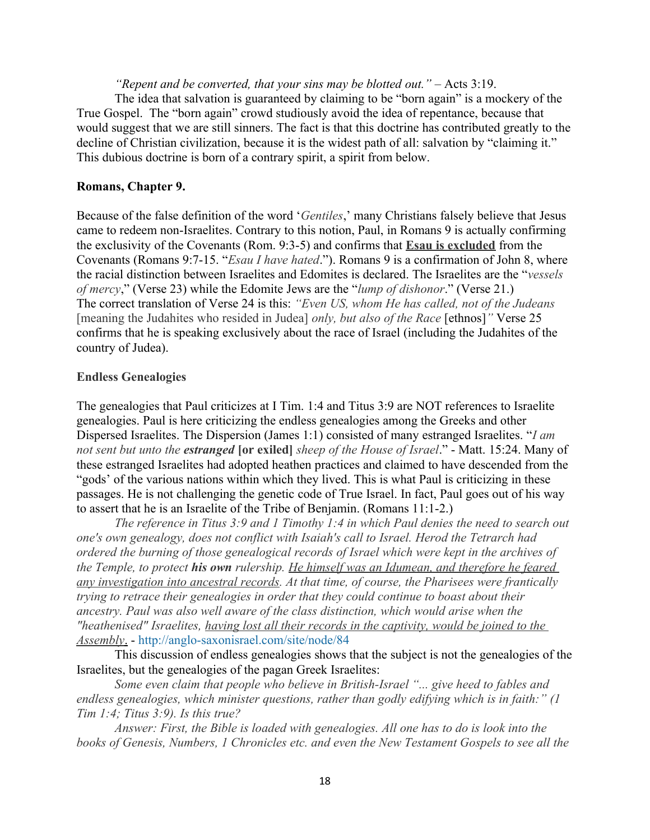*"Repent and be converted, that your sins may be blotted out."* – Acts 3:19.

The idea that salvation is guaranteed by claiming to be "born again" is a mockery of the True Gospel. The "born again" crowd studiously avoid the idea of repentance, because that would suggest that we are still sinners. The fact is that this doctrine has contributed greatly to the decline of Christian civilization, because it is the widest path of all: salvation by "claiming it." This dubious doctrine is born of a contrary spirit, a spirit from below.

#### **Romans, Chapter 9.**

Because of the false definition of the word '*Gentiles*,' many Christians falsely believe that Jesus came to redeem non-Israelites. Contrary to this notion, Paul, in Romans 9 is actually confirming the exclusivity of the Covenants (Rom. 9:3-5) and confirms that **Esau is excluded** from the Covenants (Romans 9:7-15. "*Esau I have hated*."). Romans 9 is a confirmation of John 8, where the racial distinction between Israelites and Edomites is declared. The Israelites are the "*vessels of mercy*," (Verse 23) while the Edomite Jews are the "*lump of dishonor*." (Verse 21.) The correct translation of Verse 24 is this: *"Even US, whom He has called, not of the Judeans*  [meaning the Judahites who resided in Judea] *only, but also of the Race* [ethnos]*"* Verse 25 confirms that he is speaking exclusively about the race of Israel (including the Judahites of the country of Judea).

#### **Endless Genealogies**

The genealogies that Paul criticizes at I Tim. 1:4 and Titus 3:9 are NOT references to Israelite genealogies. Paul is here criticizing the endless genealogies among the Greeks and other Dispersed Israelites. The Dispersion (James 1:1) consisted of many estranged Israelites. "*I am not sent but unto the estranged* **[or exiled]** *sheep of the House of Israel*." - Matt. 15:24. Many of these estranged Israelites had adopted heathen practices and claimed to have descended from the "gods' of the various nations within which they lived. This is what Paul is criticizing in these passages. He is not challenging the genetic code of True Israel. In fact, Paul goes out of his way to assert that he is an Israelite of the Tribe of Benjamin. (Romans 11:1-2.)

*The reference in Titus 3:9 and 1 Timothy 1:4 in which Paul denies the need to search out one's own genealogy, does not conflict with Isaiah's call to Israel. Herod the Tetrarch had ordered the burning of those genealogical records of Israel which were kept in the archives of the Temple, to protect his own rulership. He himself was an Idumean, and therefore he feared any investigation into ancestral records. At that time, of course, the Pharisees were frantically trying to retrace their genealogies in order that they could continue to boast about their ancestry. Paul was also well aware of the class distinction, which would arise when the "heathenised" Israelites, having lost all their records in the captivity, would be joined to the Assembly*. -<http://anglo-saxonisrael.com/site/node/84>

This discussion of endless genealogies shows that the subject is not the genealogies of the Israelites, but the genealogies of the pagan Greek Israelites:

*Some even claim that people who believe in British-Israel "... give heed to fables and endless genealogies, which minister questions, rather than godly edifying which is in faith:" (1 Tim 1:4; Titus 3:9). Is this true?*

*Answer: First, the Bible is loaded with genealogies. All one has to do is look into the books of Genesis, Numbers, 1 Chronicles etc. and even the New Testament Gospels to see all the*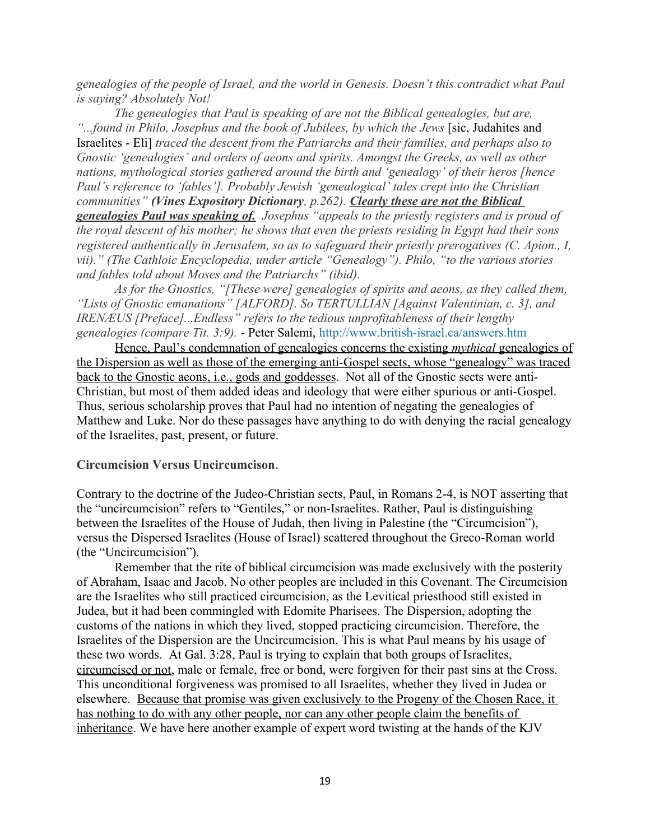*genealogies of the people of Israel, and the world in Genesis. Doesn't this contradict what Paul is saying? Absolutely Not!*

*The genealogies that Paul is speaking of are not the Biblical genealogies, but are,*  "...*found in Philo, Josephus and the book of Jubilees, by which the Jews* [sic, Judahites and Israelites - Eli] *traced the descent from the Patriarchs and their families, and perhaps also to Gnostic 'genealogies' and orders of aeons and spirits. Amongst the Greeks, as well as other nations, mythological stories gathered around the birth and 'genealogy' of their heros [hence Paul's reference to 'fables']. Probably Jewish 'genealogical' tales crept into the Christian communities" (Vines Expository Dictionary, p.262). Clearly these are not the Biblical genealogies Paul was speaking of. Josephus "appeals to the priestly registers and is proud of the royal descent of his mother; he shows that even the priests residing in Egypt had their sons registered authentically in Jerusalem, so as to safeguard their priestly prerogatives (C. Apion., I, vii)." (The Cathloic Encyclopedia, under article "Genealogy"). Philo, "to the various stories and fables told about Moses and the Patriarchs" (ibid).*

*As for the Gnostics, "[These were] genealogies of spirits and aeons, as they called them, "Lists of Gnostic emanations" [ALFORD]. So TERTULLIAN [Against Valentinian, c. 3], and IRENÆUS [Preface]...Endless" refers to the tedious unprofitableness of their lengthy genealogies (compare Tit. 3:9).* - Peter Salemi, <http://www.british-israel.ca/answers.htm>

 Hence, Paul's condemnation of genealogies concerns the existing *mythical* genealogies of the Dispersion as well as those of the emerging anti-Gospel sects, whose "genealogy" was traced back to the Gnostic aeons, i.e., gods and goddesses. Not all of the Gnostic sects were anti-Christian, but most of them added ideas and ideology that were either spurious or anti-Gospel. Thus, serious scholarship proves that Paul had no intention of negating the genealogies of Matthew and Luke. Nor do these passages have anything to do with denying the racial genealogy of the Israelites, past, present, or future.

#### **Circumcision Versus Uncircumcison**.

Contrary to the doctrine of the Judeo-Christian sects, Paul, in Romans 2-4, is NOT asserting that the "uncircumcision" refers to "Gentiles," or non-Israelites. Rather, Paul is distinguishing between the Israelites of the House of Judah, then living in Palestine (the "Circumcision"), versus the Dispersed Israelites (House of Israel) scattered throughout the Greco-Roman world (the "Uncircumcision").

Remember that the rite of biblical circumcision was made exclusively with the posterity of Abraham, Isaac and Jacob. No other peoples are included in this Covenant. The Circumcision are the Israelites who still practiced circumcision, as the Levitical priesthood still existed in Judea, but it had been commingled with Edomite Pharisees. The Dispersion, adopting the customs of the nations in which they lived, stopped practicing circumcision. Therefore, the Israelites of the Dispersion are the Uncircumcision. This is what Paul means by his usage of these two words. At Gal. 3:28, Paul is trying to explain that both groups of Israelites, circumcised or not, male or female, free or bond, were forgiven for their past sins at the Cross. This unconditional forgiveness was promised to all Israelites, whether they lived in Judea or elsewhere. Because that promise was given exclusively to the Progeny of the Chosen Race, it has nothing to do with any other people, nor can any other people claim the benefits of inheritance. We have here another example of expert word twisting at the hands of the KJV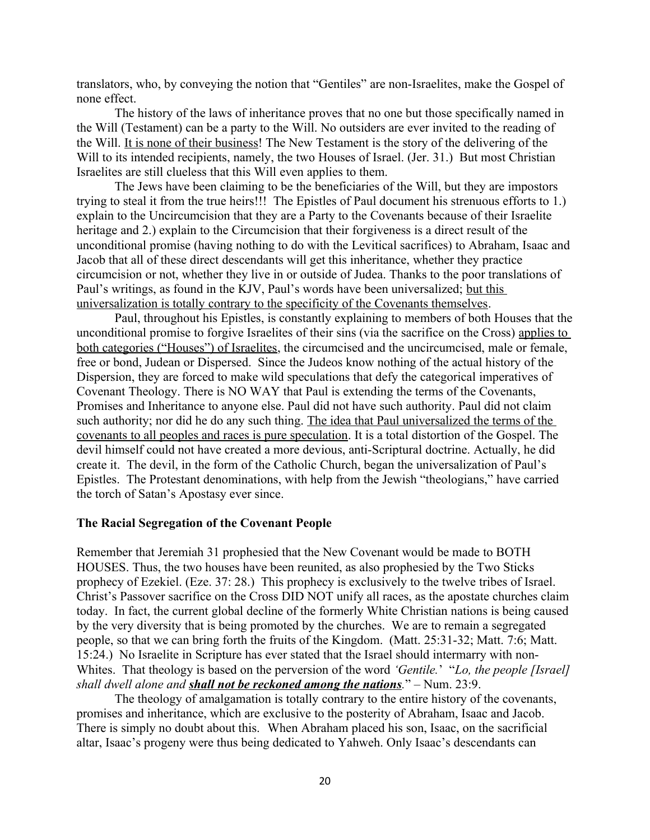translators, who, by conveying the notion that "Gentiles" are non-Israelites, make the Gospel of none effect.

The history of the laws of inheritance proves that no one but those specifically named in the Will (Testament) can be a party to the Will. No outsiders are ever invited to the reading of the Will. It is none of their business! The New Testament is the story of the delivering of the Will to its intended recipients, namely, the two Houses of Israel. (Jer. 31.) But most Christian Israelites are still clueless that this Will even applies to them.

The Jews have been claiming to be the beneficiaries of the Will, but they are impostors trying to steal it from the true heirs!!! The Epistles of Paul document his strenuous efforts to 1.) explain to the Uncircumcision that they are a Party to the Covenants because of their Israelite heritage and 2.) explain to the Circumcision that their forgiveness is a direct result of the unconditional promise (having nothing to do with the Levitical sacrifices) to Abraham, Isaac and Jacob that all of these direct descendants will get this inheritance, whether they practice circumcision or not, whether they live in or outside of Judea. Thanks to the poor translations of Paul's writings, as found in the KJV, Paul's words have been universalized; but this universalization is totally contrary to the specificity of the Covenants themselves.

Paul, throughout his Epistles, is constantly explaining to members of both Houses that the unconditional promise to forgive Israelites of their sins (via the sacrifice on the Cross) applies to both categories ("Houses") of Israelites, the circumcised and the uncircumcised, male or female, free or bond, Judean or Dispersed. Since the Judeos know nothing of the actual history of the Dispersion, they are forced to make wild speculations that defy the categorical imperatives of Covenant Theology. There is NO WAY that Paul is extending the terms of the Covenants, Promises and Inheritance to anyone else. Paul did not have such authority. Paul did not claim such authority; nor did he do any such thing. The idea that Paul universalized the terms of the covenants to all peoples and races is pure speculation. It is a total distortion of the Gospel. The devil himself could not have created a more devious, anti-Scriptural doctrine. Actually, he did create it. The devil, in the form of the Catholic Church, began the universalization of Paul's Epistles. The Protestant denominations, with help from the Jewish "theologians," have carried the torch of Satan's Apostasy ever since.

#### **The Racial Segregation of the Covenant People**

Remember that Jeremiah 31 prophesied that the New Covenant would be made to BOTH HOUSES. Thus, the two houses have been reunited, as also prophesied by the Two Sticks prophecy of Ezekiel. (Eze. 37: 28.) This prophecy is exclusively to the twelve tribes of Israel. Christ's Passover sacrifice on the Cross DID NOT unify all races, as the apostate churches claim today. In fact, the current global decline of the formerly White Christian nations is being caused by the very diversity that is being promoted by the churches. We are to remain a segregated people, so that we can bring forth the fruits of the Kingdom. (Matt. 25:31-32; Matt. 7:6; Matt. 15:24.) No Israelite in Scripture has ever stated that the Israel should intermarry with non-Whites. That theology is based on the perversion of the word *'Gentile.*' "*Lo, the people [Israel] shall dwell alone and shall not be reckoned among the nations.*" – Num. 23:9.

The theology of amalgamation is totally contrary to the entire history of the covenants, promises and inheritance, which are exclusive to the posterity of Abraham, Isaac and Jacob. There is simply no doubt about this. When Abraham placed his son, Isaac, on the sacrificial altar, Isaac's progeny were thus being dedicated to Yahweh. Only Isaac's descendants can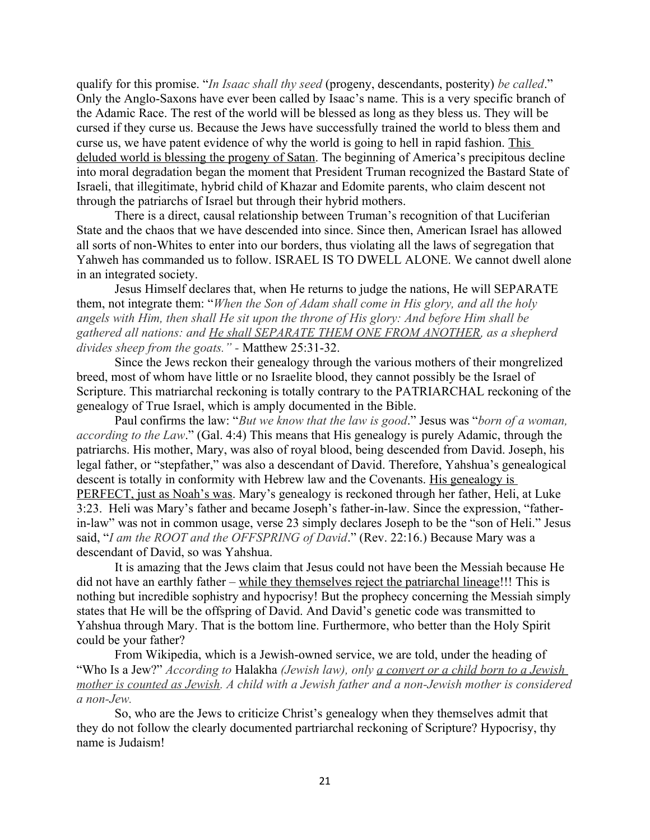qualify for this promise. "*In Isaac shall thy seed* (progeny, descendants, posterity) *be called*." Only the Anglo-Saxons have ever been called by Isaac's name. This is a very specific branch of the Adamic Race. The rest of the world will be blessed as long as they bless us. They will be cursed if they curse us. Because the Jews have successfully trained the world to bless them and curse us, we have patent evidence of why the world is going to hell in rapid fashion. This deluded world is blessing the progeny of Satan. The beginning of America's precipitous decline into moral degradation began the moment that President Truman recognized the Bastard State of Israeli, that illegitimate, hybrid child of Khazar and Edomite parents, who claim descent not through the patriarchs of Israel but through their hybrid mothers.

There is a direct, causal relationship between Truman's recognition of that Luciferian State and the chaos that we have descended into since. Since then, American Israel has allowed all sorts of non-Whites to enter into our borders, thus violating all the laws of segregation that Yahweh has commanded us to follow. ISRAEL IS TO DWELL ALONE. We cannot dwell alone in an integrated society.

Jesus Himself declares that, when He returns to judge the nations, He will SEPARATE them, not integrate them: "*When the Son of Adam shall come in His glory, and all the holy angels with Him, then shall He sit upon the throne of His glory: And before Him shall be gathered all nations: and He shall SEPARATE THEM ONE FROM ANOTHER, as a shepherd divides sheep from the goats." -* Matthew 25:31-32.

Since the Jews reckon their genealogy through the various mothers of their mongrelized breed, most of whom have little or no Israelite blood, they cannot possibly be the Israel of Scripture. This matriarchal reckoning is totally contrary to the PATRIARCHAL reckoning of the genealogy of True Israel, which is amply documented in the Bible.

Paul confirms the law: "*But we know that the law is good*." Jesus was "*born of a woman, according to the Law*." (Gal. 4:4) This means that His genealogy is purely Adamic, through the patriarchs. His mother, Mary, was also of royal blood, being descended from David. Joseph, his legal father, or "stepfather," was also a descendant of David. Therefore, Yahshua's genealogical descent is totally in conformity with Hebrew law and the Covenants. His genealogy is PERFECT, just as Noah's was. Mary's genealogy is reckoned through her father, Heli, at Luke 3:23. Heli was Mary's father and became Joseph's father-in-law. Since the expression, "fatherin-law" was not in common usage, verse 23 simply declares Joseph to be the "son of Heli." Jesus said, "*I am the ROOT and the OFFSPRING of David*." (Rev. 22:16.) Because Mary was a descendant of David, so was Yahshua.

It is amazing that the Jews claim that Jesus could not have been the Messiah because He did not have an earthly father – while they themselves reject the patriarchal lineage!!! This is nothing but incredible sophistry and hypocrisy! But the prophecy concerning the Messiah simply states that He will be the offspring of David. And David's genetic code was transmitted to Yahshua through Mary. That is the bottom line. Furthermore, who better than the Holy Spirit could be your father?

From Wikipedia, which is a Jewish-owned service, we are told, under the heading of "Who Is a Jew?" *According to* [Halakha](http://reference.info.com/?qkw=Halakha&source_id=2222&source_key=Halakha) *(Jewish law), only a convert or a child born to a Jewish mother is counted as Jewish. A child with a Jewish father and a non-Jewish mother is considered a non-Jew.* 

So, who are the Jews to criticize Christ's genealogy when they themselves admit that they do not follow the clearly documented partriarchal reckoning of Scripture? Hypocrisy, thy name is Judaism!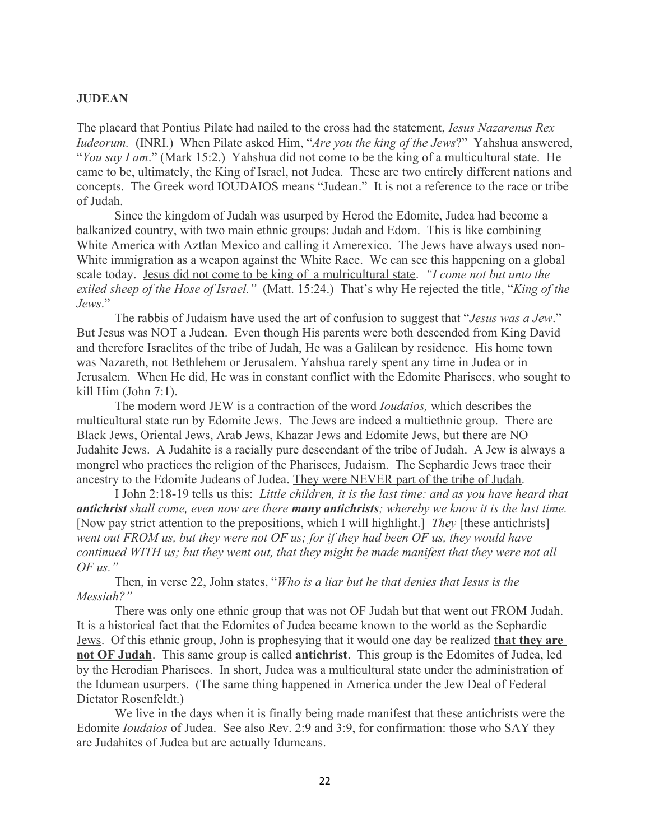## **JUDEAN**

The placard that Pontius Pilate had nailed to the cross had the statement, *Iesus Nazarenus Rex Iudeorum.* (INRI.) When Pilate asked Him, "*Are you the king of the Jews*?" Yahshua answered, "*You say I am*." (Mark 15:2.) Yahshua did not come to be the king of a multicultural state. He came to be, ultimately, the King of Israel, not Judea. These are two entirely different nations and concepts. The Greek word IOUDAIOS means "Judean." It is not a reference to the race or tribe of Judah.

Since the kingdom of Judah was usurped by Herod the Edomite, Judea had become a balkanized country, with two main ethnic groups: Judah and Edom. This is like combining White America with Aztlan Mexico and calling it Amerexico. The Jews have always used non-White immigration as a weapon against the White Race. We can see this happening on a global scale today. Jesus did not come to be king of a mulricultural state. *"I come not but unto the exiled sheep of the Hose of Israel."* (Matt. 15:24.) That's why He rejected the title, "*King of the Jews*."

The rabbis of Judaism have used the art of confusion to suggest that "*Jesus was a Jew*." But Jesus was NOT a Judean. Even though His parents were both descended from King David and therefore Israelites of the tribe of Judah, He was a Galilean by residence. His home town was Nazareth, not Bethlehem or Jerusalem. Yahshua rarely spent any time in Judea or in Jerusalem. When He did, He was in constant conflict with the Edomite Pharisees, who sought to kill Him (John 7:1).

The modern word JEW is a contraction of the word *Ioudaios,* which describes the multicultural state run by Edomite Jews. The Jews are indeed a multiethnic group. There are Black Jews, Oriental Jews, Arab Jews, Khazar Jews and Edomite Jews, but there are NO Judahite Jews. A Judahite is a racially pure descendant of the tribe of Judah. A Jew is always a mongrel who practices the religion of the Pharisees, Judaism. The Sephardic Jews trace their ancestry to the Edomite Judeans of Judea. They were NEVER part of the tribe of Judah.

I John 2:18-19 tells us this: *Little children, it is the last time: and as you have heard that antichrist shall come, even now are there many antichrists; whereby we know it is the last time.*  [Now pay strict attention to the prepositions, which I will highlight.] *They* [these antichrists] *went out FROM us, but they were not OF us; for if they had been OF us, they would have continued WITH us; but they went out, that they might be made manifest that they were not all OF us."* 

Then, in verse 22, John states, "*Who is a liar but he that denies that Iesus is the Messiah?"*

There was only one ethnic group that was not OF Judah but that went out FROM Judah. It is a historical fact that the Edomites of Judea became known to the world as the Sephardic Jews. Of this ethnic group, John is prophesying that it would one day be realized **that they are not OF Judah**. This same group is called **antichrist**. This group is the Edomites of Judea, led by the Herodian Pharisees. In short, Judea was a multicultural state under the administration of the Idumean usurpers. (The same thing happened in America under the Jew Deal of Federal Dictator Rosenfeldt.)

We live in the days when it is finally being made manifest that these antichrists were the Edomite *Ioudaios* of Judea. See also Rev. 2:9 and 3:9, for confirmation: those who SAY they are Judahites of Judea but are actually Idumeans.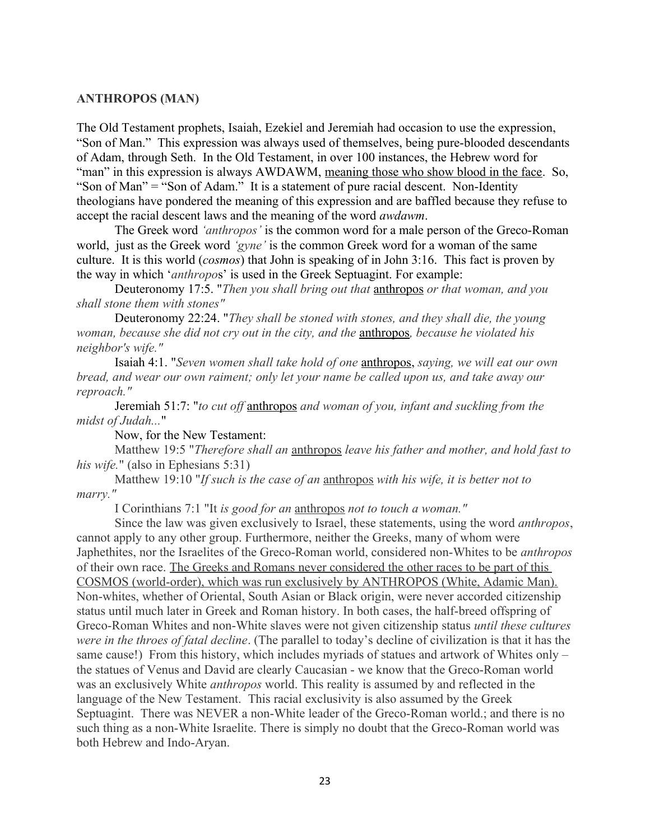## **ANTHROPOS (MAN)**

The Old Testament prophets, Isaiah, Ezekiel and Jeremiah had occasion to use the expression, "Son of Man." This expression was always used of themselves, being pure-blooded descendants of Adam, through Seth. In the Old Testament, in over 100 instances, the Hebrew word for "man" in this expression is always AWDAWM, meaning those who show blood in the face. So, "Son of Man" = "Son of Adam." It is a statement of pure racial descent. Non-Identity theologians have pondered the meaning of this expression and are baffled because they refuse to accept the racial descent laws and the meaning of the word *awdawm*.

The Greek word *'anthropos'* is the common word for a male person of the Greco-Roman world, just as the Greek word *'gyne'* is the common Greek word for a woman of the same culture. It is this world (*cosmos*) that John is speaking of in John 3:16. This fact is proven by the way in which '*anthropo*s' is used in the Greek Septuagint. For example:

Deuteronomy 17:5. "*Then you shall bring out that* anthropos *or that woman, and you shall stone them with stones"*

Deuteronomy 22:24. "*They shall be stoned with stones, and they shall die, the young woman, because she did not cry out in the city, and the* anthropos*, because he violated his neighbor's wife."*

Isaiah 4:1. "*Seven women shall take hold of one* anthropos, *saying, we will eat our own bread, and wear our own raiment; only let your name be called upon us, and take away our reproach."*

Jeremiah 51:7: "*to cut off* anthropos *and woman of you, infant and suckling from the midst of Judah...*"

Now, for the New Testament:

Matthew 19:5 "*Therefore shall an* anthropos *leave his father and mother, and hold fast to his wife.*" (also in Ephesians 5:31)

Matthew 19:10 "*If such is the case of an* anthropos *with his wife, it is better not to marry."*

I Corinthians 7:1 "It *is good for an* anthropos *not to touch a woman."*

Since the law was given exclusively to Israel, these statements, using the word *anthropos*, cannot apply to any other group. Furthermore, neither the Greeks, many of whom were Japhethites, nor the Israelites of the Greco-Roman world, considered non-Whites to be *anthropos* of their own race. The Greeks and Romans never considered the other races to be part of this COSMOS (world-order), which was run exclusively by ANTHROPOS (White, Adamic Man). Non-whites, whether of Oriental, South Asian or Black origin, were never accorded citizenship status until much later in Greek and Roman history. In both cases, the half-breed offspring of Greco-Roman Whites and non-White slaves were not given citizenship status *until these cultures were in the throes of fatal decline*. (The parallel to today's decline of civilization is that it has the same cause!) From this history, which includes myriads of statues and artwork of Whites only – the statues of Venus and David are clearly Caucasian - we know that the Greco-Roman world was an exclusively White *anthropos* world. This reality is assumed by and reflected in the language of the New Testament. This racial exclusivity is also assumed by the Greek Septuagint. There was NEVER a non-White leader of the Greco-Roman world.; and there is no such thing as a non-White Israelite. There is simply no doubt that the Greco-Roman world was both Hebrew and Indo-Aryan.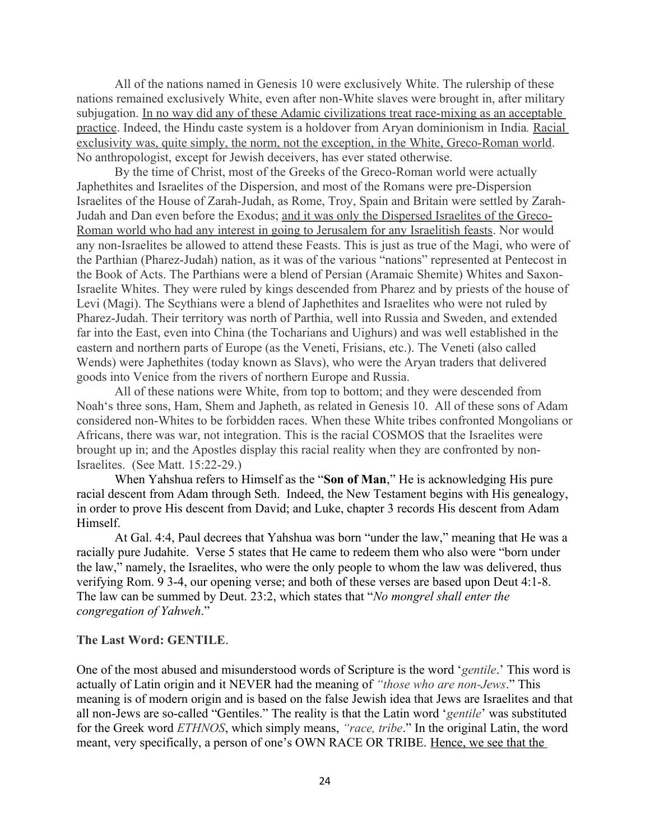All of the nations named in Genesis 10 were exclusively White. The rulership of these nations remained exclusively White, even after non-White slaves were brought in, after military subjugation. In no way did any of these Adamic civilizations treat race-mixing as an acceptable practice. Indeed, the Hindu caste system is a holdover from Aryan dominionism in India*.* Racial exclusivity was, quite simply, the norm, not the exception, in the White, Greco-Roman world. No anthropologist, except for Jewish deceivers, has ever stated otherwise.

By the time of Christ, most of the Greeks of the Greco-Roman world were actually Japhethites and Israelites of the Dispersion, and most of the Romans were pre-Dispersion Israelites of the House of Zarah-Judah, as Rome, Troy, Spain and Britain were settled by Zarah-Judah and Dan even before the Exodus; and it was only the Dispersed Israelites of the Greco-Roman world who had any interest in going to Jerusalem for any Israelitish feasts. Nor would any non-Israelites be allowed to attend these Feasts. This is just as true of the Magi, who were of the Parthian (Pharez-Judah) nation, as it was of the various "nations" represented at Pentecost in the Book of Acts. The Parthians were a blend of Persian (Aramaic Shemite) Whites and Saxon-Israelite Whites. They were ruled by kings descended from Pharez and by priests of the house of Levi (Magi). The Scythians were a blend of Japhethites and Israelites who were not ruled by Pharez-Judah. Their territory was north of Parthia, well into Russia and Sweden, and extended far into the East, even into China (the Tocharians and Uighurs) and was well established in the eastern and northern parts of Europe (as the Veneti, Frisians, etc.). The Veneti (also called Wends) were Japhethites (today known as Slavs), who were the Aryan traders that delivered goods into Venice from the rivers of northern Europe and Russia.

All of these nations were White, from top to bottom; and they were descended from Noah's three sons, Ham, Shem and Japheth, as related in Genesis 10. All of these sons of Adam considered non-Whites to be forbidden races. When these White tribes confronted Mongolians or Africans, there was war, not integration. This is the racial COSMOS that the Israelites were brought up in; and the Apostles display this racial reality when they are confronted by non-Israelites. (See Matt. 15:22-29.)

When Yahshua refers to Himself as the "**Son of Man**," He is acknowledging His pure racial descent from Adam through Seth. Indeed, the New Testament begins with His genealogy, in order to prove His descent from David; and Luke, chapter 3 records His descent from Adam Himself.

At Gal. 4:4, Paul decrees that Yahshua was born "under the law," meaning that He was a racially pure Judahite. Verse 5 states that He came to redeem them who also were "born under the law," namely, the Israelites, who were the only people to whom the law was delivered, thus verifying Rom. 9 3-4, our opening verse; and both of these verses are based upon Deut 4:1-8. The law can be summed by Deut. 23:2, which states that "*No mongrel shall enter the congregation of Yahweh*."

#### **The Last Word: GENTILE**.

One of the most abused and misunderstood words of Scripture is the word '*gentile*.' This word is actually of Latin origin and it NEVER had the meaning of *"those who are non-Jews*." This meaning is of modern origin and is based on the false Jewish idea that Jews are Israelites and that all non-Jews are so-called "Gentiles." The reality is that the Latin word '*gentile*' was substituted for the Greek word *ETHNOS*, which simply means, *"race, tribe*." In the original Latin, the word meant, very specifically, a person of one's OWN RACE OR TRIBE. Hence, we see that the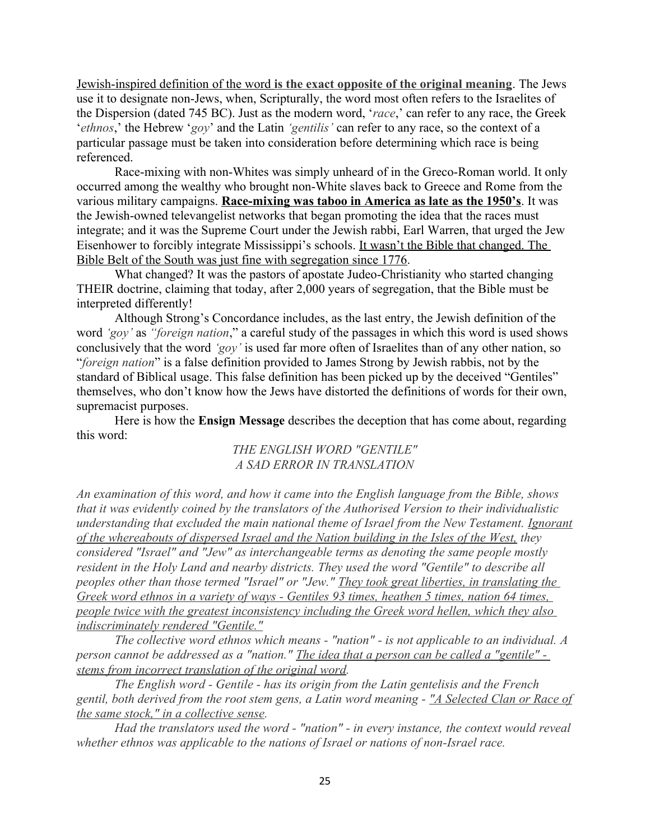Jewish-inspired definition of the word **is the exact opposite of the original meaning**. The Jews use it to designate non-Jews, when, Scripturally, the word most often refers to the Israelites of the Dispersion (dated 745 BC). Just as the modern word, '*race*,' can refer to any race, the Greek '*ethnos*,' the Hebrew '*goy*' and the Latin *'gentilis'* can refer to any race, so the context of a particular passage must be taken into consideration before determining which race is being referenced.

Race-mixing with non-Whites was simply unheard of in the Greco-Roman world. It only occurred among the wealthy who brought non-White slaves back to Greece and Rome from the various military campaigns. **Race-mixing was taboo in America as late as the 1950's**. It was the Jewish-owned televangelist networks that began promoting the idea that the races must integrate; and it was the Supreme Court under the Jewish rabbi, Earl Warren, that urged the Jew Eisenhower to forcibly integrate Mississippi's schools. It wasn't the Bible that changed. The Bible Belt of the South was just fine with segregation since 1776.

What changed? It was the pastors of apostate Judeo-Christianity who started changing THEIR doctrine, claiming that today, after 2,000 years of segregation, that the Bible must be interpreted differently!

Although Strong's Concordance includes, as the last entry, the Jewish definition of the word *'goy'* as *"foreign nation*," a careful study of the passages in which this word is used shows conclusively that the word *'goy'* is used far more often of Israelites than of any other nation, so "*foreign nation*" is a false definition provided to James Strong by Jewish rabbis, not by the standard of Biblical usage. This false definition has been picked up by the deceived "Gentiles" themselves, who don't know how the Jews have distorted the definitions of words for their own, supremacist purposes.

Here is how the **Ensign Message** describes the deception that has come about, regarding this word:

## *THE ENGLISH WORD "GENTILE" A SAD ERROR IN TRANSLATION*

*An examination of this word, and how it came into the English language from the Bible, shows that it was evidently coined by the translators of the Authorised Version to their individualistic understanding that excluded the main national theme of Israel from the New Testament. Ignorant of the whereabouts of dispersed Israel and the Nation building in the Isles of the West, they considered "Israel" and "Jew" as interchangeable terms as denoting the same people mostly resident in the Holy Land and nearby districts. They used the word "Gentile" to describe all peoples other than those termed "Israel" or "Jew." They took great liberties, in translating the Greek word ethnos in a variety of ways - Gentiles 93 times, heathen 5 times, nation 64 times, people twice with the greatest inconsistency including the Greek word hellen, which they also indiscriminately rendered "Gentile."*

*The collective word ethnos which means - "nation" - is not applicable to an individual. A person cannot be addressed as a "nation." The idea that a person can be called a "gentile" stems from incorrect translation of the original word.* 

*The English word - Gentile - has its origin from the Latin gentelisis and the French gentil, both derived from the root stem gens, a Latin word meaning - "A Selected Clan or Race of the same stock," in a collective sense.* 

*Had the translators used the word - "nation" - in every instance, the context would reveal whether ethnos was applicable to the nations of Israel or nations of non-Israel race.*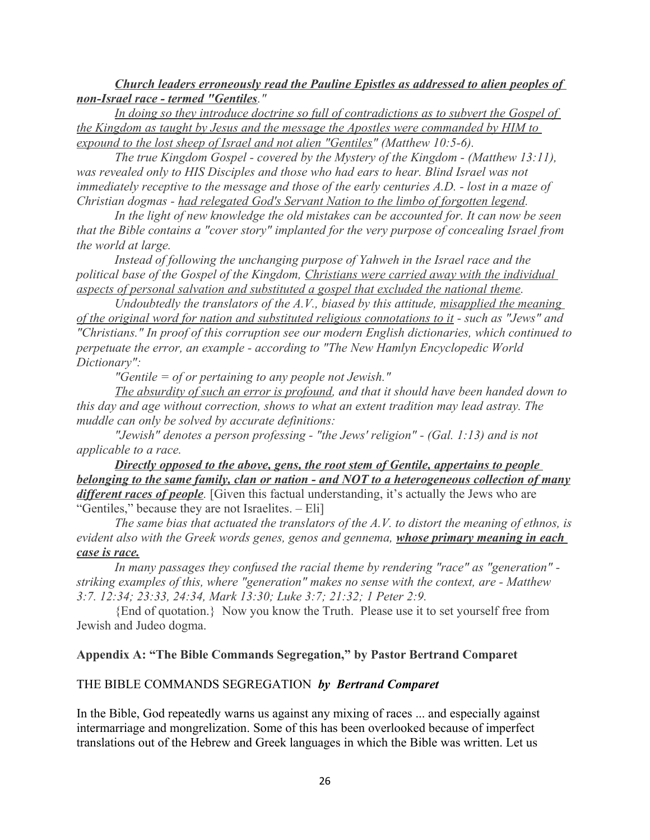*Church leaders erroneously read the Pauline Epistles as addressed to alien peoples of non-Israel race - termed "Gentiles."* 

In doing so they introduce doctrine so full of contradictions as to subvert the Gospel of *the Kingdom as taught by Jesus and the message the Apostles were commanded by HIM to expound to the lost sheep of Israel and not alien "Gentiles" (Matthew 10:5-6).* 

*The true Kingdom Gospel - covered by the Mystery of the Kingdom - (Matthew 13:11), was revealed only to HIS Disciples and those who had ears to hear. Blind Israel was not immediately receptive to the message and those of the early centuries A.D. - lost in a maze of Christian dogmas - had relegated God's Servant Nation to the limbo of forgotten legend.* 

*In the light of new knowledge the old mistakes can be accounted for. It can now be seen that the Bible contains a "cover story" implanted for the very purpose of concealing Israel from the world at large.* 

Instead of following the unchanging purpose of Yahweh in the Israel race and the *political base of the Gospel of the Kingdom, Christians were carried away with the individual aspects of personal salvation and substituted a gospel that excluded the national theme.* 

*Undoubtedly the translators of the A.V., biased by this attitude, misapplied the meaning of the original word for nation and substituted religious connotations to it - such as "Jews" and "Christians." In proof of this corruption see our modern English dictionaries, which continued to perpetuate the error, an example - according to "The New Hamlyn Encyclopedic World Dictionary":* 

*"Gentile = of or pertaining to any people not Jewish."* 

*The absurdity of such an error is profound, and that it should have been handed down to this day and age without correction, shows to what an extent tradition may lead astray. The muddle can only be solved by accurate definitions:* 

*"Jewish" denotes a person professing - "the Jews' religion" - (Gal. 1:13) and is not applicable to a race.* 

*Directly opposed to the above, gens, the root stem of Gentile, appertains to people belonging to the same family, clan or nation - and NOT to a heterogeneous collection of many different races of people*. [Given this factual understanding, it's actually the Jews who are "Gentiles," because they are not Israelites. – Eli]

*The same bias that actuated the translators of the A.V. to distort the meaning of ethnos, is evident also with the Greek words genes, genos and gennema, whose primary meaning in each case is race.*

*In many passages they confused the racial theme by rendering "race" as "generation" striking examples of this, where "generation" makes no sense with the context, are - Matthew 3:7. 12:34; 23:33, 24:34, Mark 13:30; Luke 3:7; 21:32; 1 Peter 2:9.* 

{End of quotation.} Now you know the Truth. Please use it to set yourself free from Jewish and Judeo dogma.

#### **Appendix A: "The Bible Commands Segregation," by Pastor Bertrand Comparet**

#### THE BIBLE COMMANDS SEGREGATION *by Bertrand Comparet*

In the Bible, God repeatedly warns us against any mixing of races ... and especially against intermarriage and mongrelization. Some of this has been overlooked because of imperfect translations out of the Hebrew and Greek languages in which the Bible was written. Let us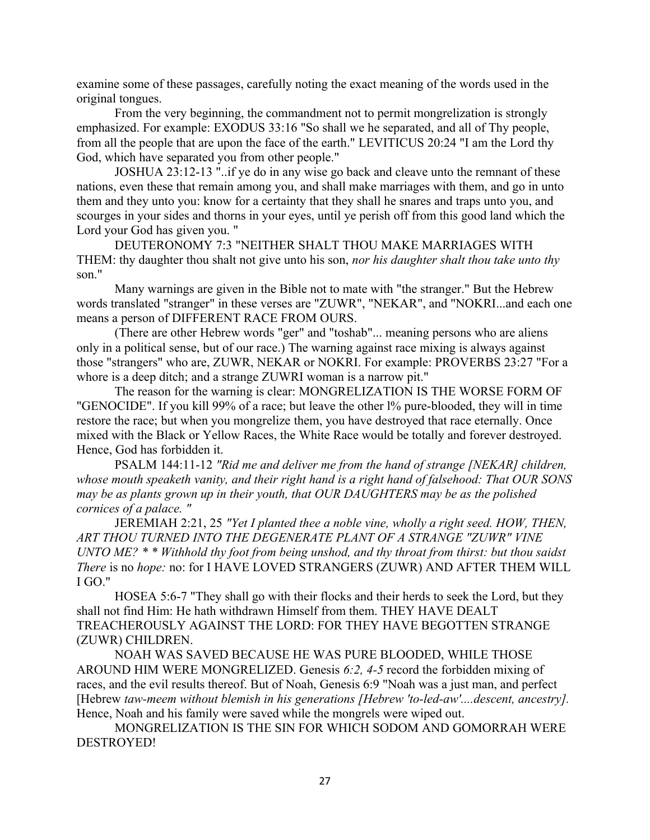examine some of these passages, carefully noting the exact meaning of the words used in the original tongues.

From the very beginning, the commandment not to permit mongrelization is strongly emphasized. For example: EXODUS 33:16 "So shall we he separated, and all of Thy people, from all the people that are upon the face of the earth." LEVITICUS 20:24 "I am the Lord thy God, which have separated you from other people."

JOSHUA 23:12-13 "..if ye do in any wise go back and cleave unto the remnant of these nations, even these that remain among you, and shall make marriages with them, and go in unto them and they unto you: know for a certainty that they shall he snares and traps unto you, and scourges in your sides and thorns in your eyes, until ye perish off from this good land which the Lord your God has given you. "

DEUTERONOMY 7:3 "NEITHER SHALT THOU MAKE MARRIAGES WITH THEM: thy daughter thou shalt not give unto his son, *nor his daughter shalt thou take unto thy*  son."

Many warnings are given in the Bible not to mate with "the stranger." But the Hebrew words translated "stranger" in these verses are "ZUWR", "NEKAR", and "NOKRI...and each one means a person of DIFFERENT RACE FROM OURS.

(There are other Hebrew words "ger" and "toshab"... meaning persons who are aliens only in a political sense, but of our race.) The warning against race mixing is always against those "strangers" who are, ZUWR, NEKAR or NOKRI. For example: PROVERBS 23:27 "For a whore is a deep ditch; and a strange ZUWRI woman is a narrow pit."

The reason for the warning is clear: MONGRELIZATION IS THE WORSE FORM OF "GENOCIDE". If you kill 99% of a race; but leave the other l% pure-blooded, they will in time restore the race; but when you mongrelize them, you have destroyed that race eternally. Once mixed with the Black or Yellow Races, the White Race would be totally and forever destroyed. Hence, God has forbidden it.

PSALM 144:11-12 *"Rid me and deliver me from the hand of strange [NEKAR] children, whose mouth speaketh vanity, and their right hand is a right hand of falsehood: That OUR SONS may be as plants grown up in their youth, that OUR DAUGHTERS may be as the polished cornices of a palace. "*

JEREMIAH 2:21, 25 *"Yet I planted thee a noble vine, wholly a right seed. HOW, THEN, ART THOU TURNED INTO THE DEGENERATE PLANT OF A STRANGE "ZUWR" VINE UNTO ME? \* \* Withhold thy foot from being unshod, and thy throat from thirst: but thou saidst There* is no *hope:* no: for I HAVE LOVED STRANGERS (ZUWR) AND AFTER THEM WILL I GO."

HOSEA 5:6-7 "They shall go with their flocks and their herds to seek the Lord, but they shall not find Him: He hath withdrawn Himself from them. THEY HAVE DEALT TREACHEROUSLY AGAINST THE LORD: FOR THEY HAVE BEGOTTEN STRANGE (ZUWR) CHILDREN.

NOAH WAS SAVED BECAUSE HE WAS PURE BLOODED, WHILE THOSE AROUND HIM WERE MONGRELIZED. Genesis *6:2, 4-5* record the forbidden mixing of races, and the evil results thereof. But of Noah, Genesis 6:9 "Noah was a just man, and perfect [Hebrew *taw-meem without blemish in his generations [Hebrew 'to-led-aw'....descent, ancestry].*  Hence, Noah and his family were saved while the mongrels were wiped out.

MONGRELIZATION IS THE SIN FOR WHICH SODOM AND GOMORRAH WERE DESTROYED!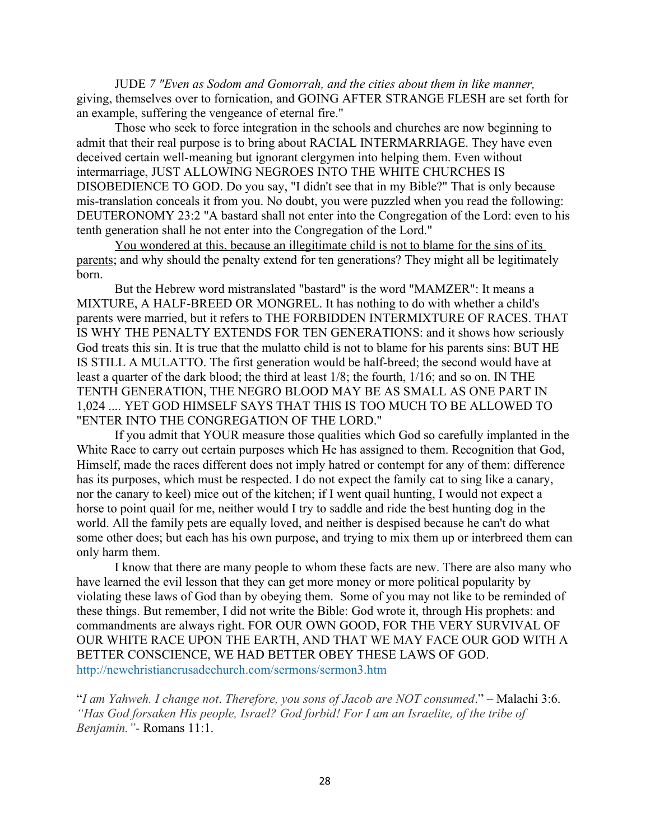JUDE *7 "Even as Sodom and Gomorrah, and the cities about them in like manner,*  giving, themselves over to fornication, and GOING AFTER STRANGE FLESH are set forth for an example, suffering the vengeance of eternal fire."

Those who seek to force integration in the schools and churches are now beginning to admit that their real purpose is to bring about RACIAL INTERMARRIAGE. They have even deceived certain well-meaning but ignorant clergymen into helping them. Even without intermarriage, JUST ALLOWING NEGROES INTO THE WHITE CHURCHES IS DISOBEDIENCE TO GOD. Do you say, "I didn't see that in my Bible?" That is only because mis-translation conceals it from you. No doubt, you were puzzled when you read the following: DEUTERONOMY 23:2 "A bastard shall not enter into the Congregation of the Lord: even to his tenth generation shall he not enter into the Congregation of the Lord."

You wondered at this, because an illegitimate child is not to blame for the sins of its parents; and why should the penalty extend for ten generations? They might all be legitimately born.

But the Hebrew word mistranslated "bastard" is the word "MAMZER": It means a MIXTURE, A HALF-BREED OR MONGREL. It has nothing to do with whether a child's parents were married, but it refers to THE FORBIDDEN INTERMIXTURE OF RACES. THAT IS WHY THE PENALTY EXTENDS FOR TEN GENERATIONS: and it shows how seriously God treats this sin. It is true that the mulatto child is not to blame for his parents sins: BUT HE IS STILL A MULATTO. The first generation would be half-breed; the second would have at least a quarter of the dark blood; the third at least 1/8; the fourth, 1/16; and so on. IN THE TENTH GENERATION, THE NEGRO BLOOD MAY BE AS SMALL AS ONE PART IN 1,024 .... YET GOD HIMSELF SAYS THAT THIS IS TOO MUCH TO BE ALLOWED TO "ENTER INTO THE CONGREGATION OF THE LORD."

If you admit that YOUR measure those qualities which God so carefully implanted in the White Race to carry out certain purposes which He has assigned to them. Recognition that God, Himself, made the races different does not imply hatred or contempt for any of them: difference has its purposes, which must be respected. I do not expect the family cat to sing like a canary, nor the canary to keel) mice out of the kitchen; if I went quail hunting, I would not expect a horse to point quail for me, neither would I try to saddle and ride the best hunting dog in the world. All the family pets are equally loved, and neither is despised because he can't do what some other does; but each has his own purpose, and trying to mix them up or interbreed them can only harm them.

I know that there are many people to whom these facts are new. There are also many who have learned the evil lesson that they can get more money or more political popularity by violating these laws of God than by obeying them. Some of you may not like to be reminded of these things. But remember, I did not write the Bible: God wrote it, through His prophets: and commandments are always right. FOR OUR OWN GOOD, FOR THE VERY SURVIVAL OF OUR WHITE RACE UPON THE EARTH, AND THAT WE MAY FACE OUR GOD WITH A BETTER CONSCIENCE, WE HAD BETTER OBEY THESE LAWS OF GOD. <http://newchristiancrusadechurch.com/sermons/sermon3.htm>

"*I am Yahweh. I change not*. *Therefore, you sons of Jacob are NOT consumed*." – Malachi 3:6. *"Has God forsaken His people, Israel? God forbid! For I am an Israelite, of the tribe of Benjamin."-* Romans 11:1.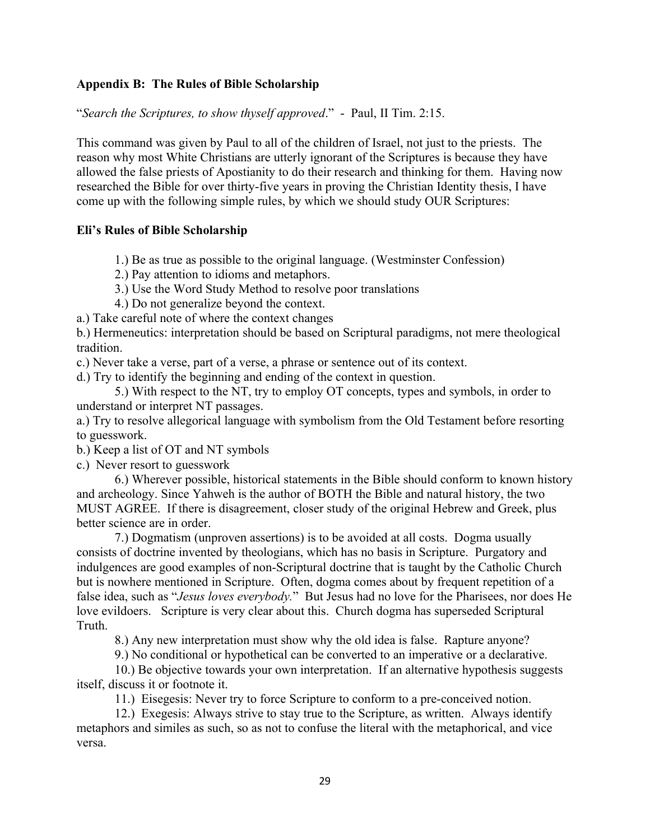## **Appendix B: The Rules of Bible Scholarship**

"*Search the Scriptures, to show thyself approved*." - Paul, II Tim. 2:15.

This command was given by Paul to all of the children of Israel, not just to the priests. The reason why most White Christians are utterly ignorant of the Scriptures is because they have allowed the false priests of Apostianity to do their research and thinking for them. Having now researched the Bible for over thirty-five years in proving the Christian Identity thesis, I have come up with the following simple rules, by which we should study OUR Scriptures:

## **Eli's Rules of Bible Scholarship**

1.) Be as true as possible to the original language. (Westminster Confession)

2.) Pay attention to idioms and metaphors.

3.) Use the Word Study Method to resolve poor translations

4.) Do not generalize beyond the context.

a.) Take careful note of where the context changes

b.) Hermeneutics: interpretation should be based on Scriptural paradigms, not mere theological tradition.

c.) Never take a verse, part of a verse, a phrase or sentence out of its context.

d.) Try to identify the beginning and ending of the context in question.

5.) With respect to the NT, try to employ OT concepts, types and symbols, in order to understand or interpret NT passages.

a.) Try to resolve allegorical language with symbolism from the Old Testament before resorting to guesswork.

b.) Keep a list of OT and NT symbols

c.) Never resort to guesswork

6.) Wherever possible, historical statements in the Bible should conform to known history and archeology. Since Yahweh is the author of BOTH the Bible and natural history, the two MUST AGREE. If there is disagreement, closer study of the original Hebrew and Greek, plus better science are in order.

7.) Dogmatism (unproven assertions) is to be avoided at all costs. Dogma usually consists of doctrine invented by theologians, which has no basis in Scripture. Purgatory and indulgences are good examples of non-Scriptural doctrine that is taught by the Catholic Church but is nowhere mentioned in Scripture. Often, dogma comes about by frequent repetition of a false idea, such as "*Jesus loves everybody.*" But Jesus had no love for the Pharisees, nor does He love evildoers. Scripture is very clear about this. Church dogma has superseded Scriptural Truth.

8.) Any new interpretation must show why the old idea is false. Rapture anyone?

9.) No conditional or hypothetical can be converted to an imperative or a declarative.

10.) Be objective towards your own interpretation. If an alternative hypothesis suggests itself, discuss it or footnote it.

11.) Eisegesis: Never try to force Scripture to conform to a pre-conceived notion.

12.) Exegesis: Always strive to stay true to the Scripture, as written. Always identify metaphors and similes as such, so as not to confuse the literal with the metaphorical, and vice versa.